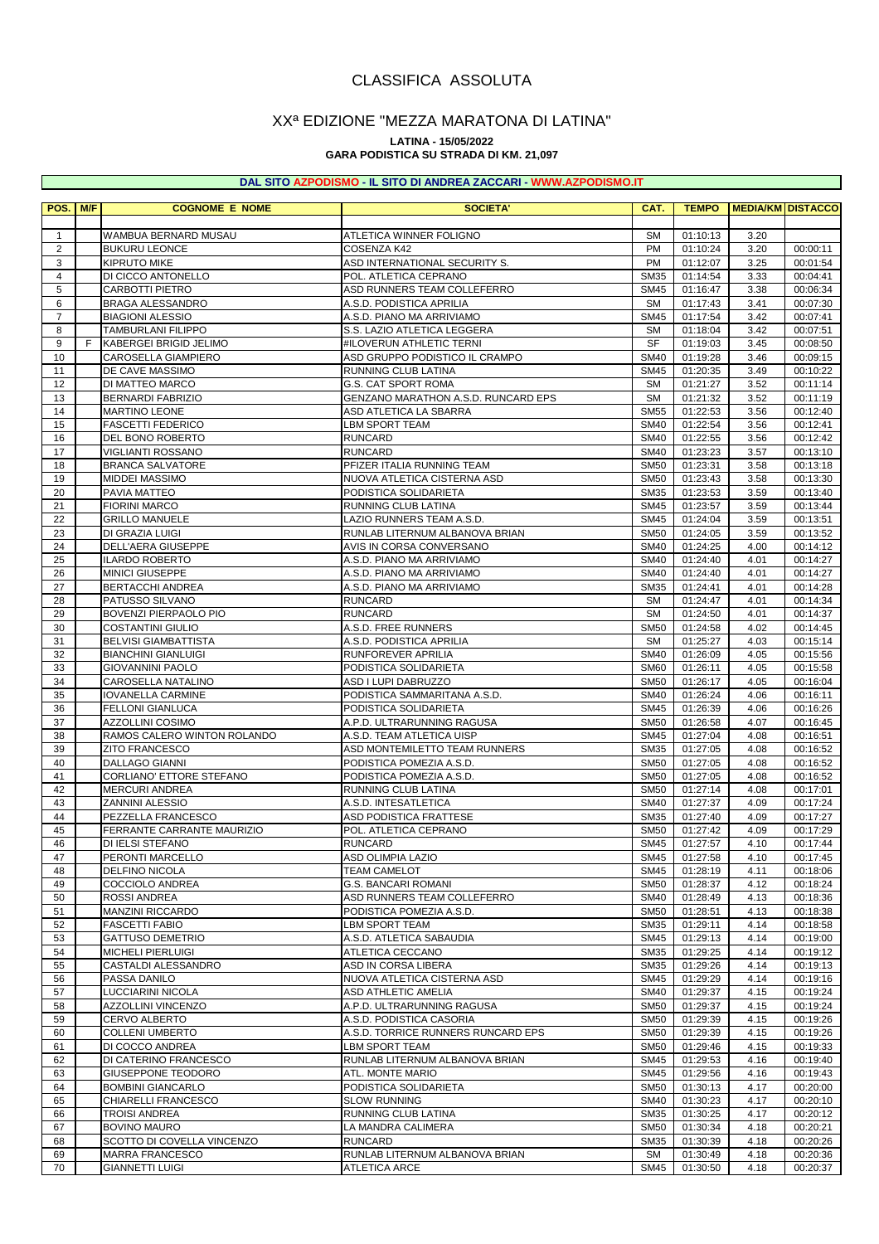# CLASSIFICA ASSOLUTA

## XXª EDIZIONE "MEZZA MARATONA DI LATINA"

#### **LATINA - 15/05/2022**

### **GARA PODISTICA SU STRADA DI KM. 21,097**

#### **DAL SITO AZPODISMO - IL SITO DI ANDREA ZACCARI - [WWW.AZPODISMO.IT](http://www.azpodismo.it)**

| POS.                | M/F | <b>COGNOME E NOME</b>                              | <b>SOCIETA'</b>                                        | CAT.                       | <b>TEMPO</b>         |              | <b>MEDIA/KM DISTACCO</b> |
|---------------------|-----|----------------------------------------------------|--------------------------------------------------------|----------------------------|----------------------|--------------|--------------------------|
|                     |     |                                                    |                                                        |                            |                      |              |                          |
| $\mathbf{1}$        |     | WAMBUA BERNARD MUSAU                               | ATLETICA WINNER FOLIGNO                                | <b>SM</b>                  | 01:10:13             | 3.20         |                          |
| 2                   |     | <b>BUKURU LEONCE</b>                               | COSENZA K42                                            | PM                         | 01:10:24             | 3.20         | 00:00:11                 |
| 3                   |     | <b>KIPRUTO MIKE</b>                                | ASD INTERNATIONAL SECURITY S.                          | <b>PM</b>                  | 01:12:07             | 3.25         | 00:01:54                 |
| $\overline{4}$      |     | DI CICCO ANTONELLO                                 | POL. ATLETICA CEPRANO                                  | <b>SM35</b>                | 01:14:54             | 3.33         | 00:04:41                 |
| 5                   |     | <b>CARBOTTI PIETRO</b>                             | ASD RUNNERS TEAM COLLEFERRO                            | <b>SM45</b>                | 01:16:47             | 3.38         | 00:06:34<br>00:07:30     |
| 6<br>$\overline{7}$ |     | <b>BRAGA ALESSANDRO</b><br><b>BIAGIONI ALESSIO</b> | A.S.D. PODISTICA APRILIA<br>A.S.D. PIANO MA ARRIVIAMO  | <b>SM</b><br><b>SM45</b>   | 01:17:43<br>01:17:54 | 3.41<br>3.42 | 00:07:41                 |
| 8                   |     | <b>TAMBURLANI FILIPPO</b>                          | S.S. LAZIO ATLETICA LEGGERA                            | <b>SM</b>                  | 01:18:04             | 3.42         | 00:07:51                 |
| 9                   | F   | KABERGEI BRIGID JELIMO                             | #ILOVERUN ATHLETIC TERNI                               | SF                         | 01:19:03             | 3.45         | 00:08:50                 |
| 10                  |     | <b>CAROSELLA GIAMPIERO</b>                         | ASD GRUPPO PODISTICO IL CRAMPO                         | <b>SM40</b>                | 01:19:28             | 3.46         | 00:09:15                 |
| 11                  |     | DE CAVE MASSIMO                                    | <b>RUNNING CLUB LATINA</b>                             | <b>SM45</b>                | 01:20:35             | 3.49         | 00:10:22                 |
| 12                  |     | DI MATTEO MARCO                                    | <b>G.S. CAT SPORT ROMA</b>                             | <b>SM</b>                  | 01:21:27             | 3.52         | 00:11:14                 |
| 13                  |     | <b>BERNARDI FABRIZIO</b>                           | <b>GENZANO MARATHON A.S.D. RUNCARD EPS</b>             | <b>SM</b>                  | 01:21:32             | 3.52         | 00:11:19                 |
| 14                  |     | <b>MARTINO LEONE</b>                               | ASD ATLETICA LA SBARRA                                 | <b>SM55</b>                | 01:22:53             | 3.56         | 00:12:40                 |
| 15<br>16            |     | <b>FASCETTI FEDERICO</b><br>DEL BONO ROBERTO       | <b>LBM SPORT TEAM</b><br><b>RUNCARD</b>                | <b>SM40</b><br><b>SM40</b> | 01:22:54<br>01:22:55 | 3.56<br>3.56 | 00:12:41<br>00:12:42     |
| 17                  |     | <b>VIGLIANTI ROSSANO</b>                           | <b>RUNCARD</b>                                         | <b>SM40</b>                | 01:23:23             | 3.57         | 00:13:10                 |
| 18                  |     | <b>BRANCA SALVATORE</b>                            | PFIZER ITALIA RUNNING TEAM                             | <b>SM50</b>                | 01:23:31             | 3.58         | 00:13:18                 |
| 19                  |     | <b>MIDDEI MASSIMO</b>                              | NUOVA ATLETICA CISTERNA ASD                            | <b>SM50</b>                | 01:23:43             | 3.58         | 00:13:30                 |
| 20                  |     | PAVIA MATTEO                                       | PODISTICA SOLIDARIETA                                  | <b>SM35</b>                | 01:23:53             | 3.59         | 00:13:40                 |
| 21                  |     | <b>FIORINI MARCO</b>                               | RUNNING CLUB LATINA                                    | <b>SM45</b>                | 01:23:57             | 3.59         | 00:13:44                 |
| 22                  |     | <b>GRILLO MANUELE</b>                              | LAZIO RUNNERS TEAM A.S.D.                              | <b>SM45</b>                | 01:24:04             | 3.59         | 00:13:51                 |
| 23                  |     | DI GRAZIA LUIGI                                    | RUNLAB LITERNUM ALBANOVA BRIAN                         | <b>SM50</b>                | 01:24:05             | 3.59         | 00:13:52                 |
| 24                  |     | <b>DELL'AERA GIUSEPPE</b>                          | AVIS IN CORSA CONVERSANO                               | <b>SM40</b>                | 01:24:25             | 4.00         | 00:14:12                 |
| 25                  |     | <b>ILARDO ROBERTO</b>                              | A.S.D. PIANO MA ARRIVIAMO                              | <b>SM40</b>                | 01:24:40             | 4.01         | 00:14:27                 |
| 26<br>27            |     | <b>MINICI GIUSEPPE</b><br>BERTACCHI ANDREA         | A.S.D. PIANO MA ARRIVIAMO<br>A.S.D. PIANO MA ARRIVIAMO | <b>SM40</b><br><b>SM35</b> | 01:24:40<br>01:24:41 | 4.01<br>4.01 | 00:14:27<br>00:14:28     |
| 28                  |     | PATUSSO SILVANO                                    | <b>RUNCARD</b>                                         | <b>SM</b>                  | 01:24:47             | 4.01         | 00:14:34                 |
| 29                  |     | BOVENZI PIERPAOLO PIO                              | <b>RUNCARD</b>                                         | <b>SM</b>                  | 01:24:50             | 4.01         | 00:14:37                 |
| 30                  |     | <b>COSTANTINI GIULIO</b>                           | A.S.D. FREE RUNNERS                                    | <b>SM50</b>                | 01:24:58             | 4.02         | 00:14:45                 |
| 31                  |     | <b>BELVISI GIAMBATTISTA</b>                        | A.S.D. PODISTICA APRILIA                               | <b>SM</b>                  | 01:25:27             | 4.03         | 00:15:14                 |
| 32                  |     | <b>BIANCHINI GIANLUIGI</b>                         | RUNFOREVER APRILIA                                     | <b>SM40</b>                | 01:26:09             | 4.05         | 00:15:56                 |
| 33                  |     | <b>GIOVANNINI PAOLO</b>                            | PODISTICA SOLIDARIETA                                  | <b>SM60</b>                | 01:26:11             | 4.05         | 00:15:58                 |
| 34                  |     | CAROSELLA NATALINO                                 | ASD I LUPI DABRUZZO                                    | <b>SM50</b>                | 01:26:17             | 4.05         | 00:16:04                 |
| 35                  |     | <b>IOVANELLA CARMINE</b>                           | PODISTICA SAMMARITANA A.S.D.                           | <b>SM40</b>                | 01:26:24             | 4.06         | 00:16:11                 |
| 36<br>37            |     | <b>FELLONI GIANLUCA</b><br><b>AZZOLLINI COSIMO</b> | PODISTICA SOLIDARIETA<br>A.P.D. ULTRARUNNING RAGUSA    | <b>SM45</b><br><b>SM50</b> | 01:26:39<br>01:26:58 | 4.06<br>4.07 | 00:16:26<br>00:16:45     |
| 38                  |     | RAMOS CALERO WINTON ROLANDO                        | A.S.D. TEAM ATLETICA UISP                              | <b>SM45</b>                | 01:27:04             | 4.08         | 00:16:51                 |
| 39                  |     | <b>ZITO FRANCESCO</b>                              | ASD MONTEMILETTO TEAM RUNNERS                          | <b>SM35</b>                | 01:27:05             | 4.08         | 00:16:52                 |
| 40                  |     | <b>DALLAGO GIANNI</b>                              | PODISTICA POMEZIA A.S.D.                               | <b>SM50</b>                | 01:27:05             | 4.08         | 00:16:52                 |
| 41                  |     | CORLIANO' ETTORE STEFANO                           | PODISTICA POMEZIA A.S.D.                               | <b>SM50</b>                | 01:27:05             | 4.08         | 00:16:52                 |
| 42                  |     | <b>MERCURI ANDREA</b>                              | RUNNING CLUB LATINA                                    | <b>SM50</b>                | 01:27:14             | 4.08         | 00:17:01                 |
| 43                  |     | ZANNINI ALESSIO                                    | A.S.D. INTESATLETICA                                   | <b>SM40</b>                | 01:27:37             | 4.09         | 00:17:24                 |
| 44                  |     | PEZZELLA FRANCESCO                                 | <b>ASD PODISTICA FRATTESE</b>                          | <b>SM35</b>                | 01:27:40             | 4.09         | 00:17:27                 |
| 45<br>46            |     | <b>FERRANTE CARRANTE MAURIZIO</b>                  | POL. ATLETICA CEPRANO                                  | <b>SM50</b>                | 01:27:42             | 4.09<br>4.10 | 00:17:29                 |
| 47                  |     | DI IELSI STEFANO<br>PERONTI MARCELLO               | <b>RUNCARD</b><br>ASD OLIMPIA LAZIO                    | <b>SM45</b><br>SM45        | 01:27:57<br>01:27:58 | 4.10         | 00:17:44<br>00:17:45     |
| 48                  |     | DELFINO NICOLA                                     | <b>TEAM CAMELOT</b>                                    | SM45                       | 01:28:19             | 4.11         | 00:18:06                 |
| 49                  |     | COCCIOLO ANDREA                                    | <b>G.S. BANCARI ROMANI</b>                             | <b>SM50</b>                | 01:28:37             | 4.12         | 00:18:24                 |
| 50                  |     | <b>ROSSI ANDREA</b>                                | ASD RUNNERS TEAM COLLEFERRO                            | <b>SM40</b>                | 01:28:49             | 4.13         | 00:18:36                 |
| 51                  |     | MANZINI RICCARDO                                   | PODISTICA POMEZIA A.S.D.                               | <b>SM50</b>                | 01:28:51             | 4.13         | 00:18:38                 |
| 52                  |     | <b>FASCETTI FABIO</b>                              | LBM SPORT TEAM                                         | SM35                       | 01:29:11             | 4.14         | 00:18:58                 |
| 53                  |     | <b>GATTUSO DEMETRIO</b>                            | A.S.D. ATLETICA SABAUDIA                               | SM45                       | 01:29:13             | 4.14         | 00:19:00                 |
| 54                  |     | <b>MICHELI PIERLUIGI</b>                           | ATLETICA CECCANO                                       | SM35                       | 01:29:25             | 4.14         | 00:19:12                 |
| 55<br>56            |     | CASTALDI ALESSANDRO<br>PASSA DANILO                | ASD IN CORSA LIBERA<br>NUOVA ATLETICA CISTERNA ASD     | SM35<br><b>SM45</b>        | 01:29:26<br>01:29:29 | 4.14<br>4.14 | 00:19:13<br>00:19:16     |
| 57                  |     | LUCCIARINI NICOLA                                  | ASD ATHLETIC AMELIA                                    | SM40                       | 01:29:37             | 4.15         | 00:19:24                 |
| 58                  |     | AZZOLLINI VINCENZO                                 | A.P.D. ULTRARUNNING RAGUSA                             | <b>SM50</b>                | 01:29:37             | 4.15         | 00:19:24                 |
| 59                  |     | CERVO ALBERTO                                      | A.S.D. PODISTICA CASORIA                               | <b>SM50</b>                | 01:29:39             | 4.15         | 00:19:26                 |
| 60                  |     | <b>COLLENI UMBERTO</b>                             | A.S.D. TORRICE RUNNERS RUNCARD EPS                     | <b>SM50</b>                | 01:29:39             | 4.15         | 00:19:26                 |
| 61                  |     | DI COCCO ANDREA                                    | <b>LBM SPORT TEAM</b>                                  | <b>SM50</b>                | 01:29:46             | 4.15         | 00:19:33                 |
| 62                  |     | DI CATERINO FRANCESCO                              | RUNLAB LITERNUM ALBANOVA BRIAN                         | SM45                       | 01:29:53             | 4.16         | 00:19:40                 |
| 63                  |     | GIUSEPPONE TEODORO                                 | ATL. MONTE MARIO                                       | SM45                       | 01:29:56             | 4.16         | 00:19:43                 |
| 64                  |     | <b>BOMBINI GIANCARLO</b>                           | PODISTICA SOLIDARIETA                                  | <b>SM50</b>                | 01:30:13             | 4.17         | 00:20:00                 |
| 65<br>66            |     | CHIARELLI FRANCESCO<br><b>TROISI ANDREA</b>        | <b>SLOW RUNNING</b><br>RUNNING CLUB LATINA             | <b>SM40</b><br>SM35        | 01:30:23<br>01:30:25 | 4.17<br>4.17 | 00:20:10<br>00:20:12     |
| 67                  |     | <b>BOVINO MAURO</b>                                | LA MANDRA CALIMERA                                     | <b>SM50</b>                | 01:30:34             | 4.18         | 00:20:21                 |
| 68                  |     | SCOTTO DI COVELLA VINCENZO                         | <b>RUNCARD</b>                                         | SM35                       | 01:30:39             | 4.18         | 00:20:26                 |
| 69                  |     | MARRA FRANCESCO                                    | RUNLAB LITERNUM ALBANOVA BRIAN                         | SM                         | 01:30:49             | 4.18         | 00:20:36                 |
| 70                  |     | <b>GIANNETTI LUIGI</b>                             | <b>ATLETICA ARCE</b>                                   | SM45                       | 01:30:50             | 4.18         | 00:20:37                 |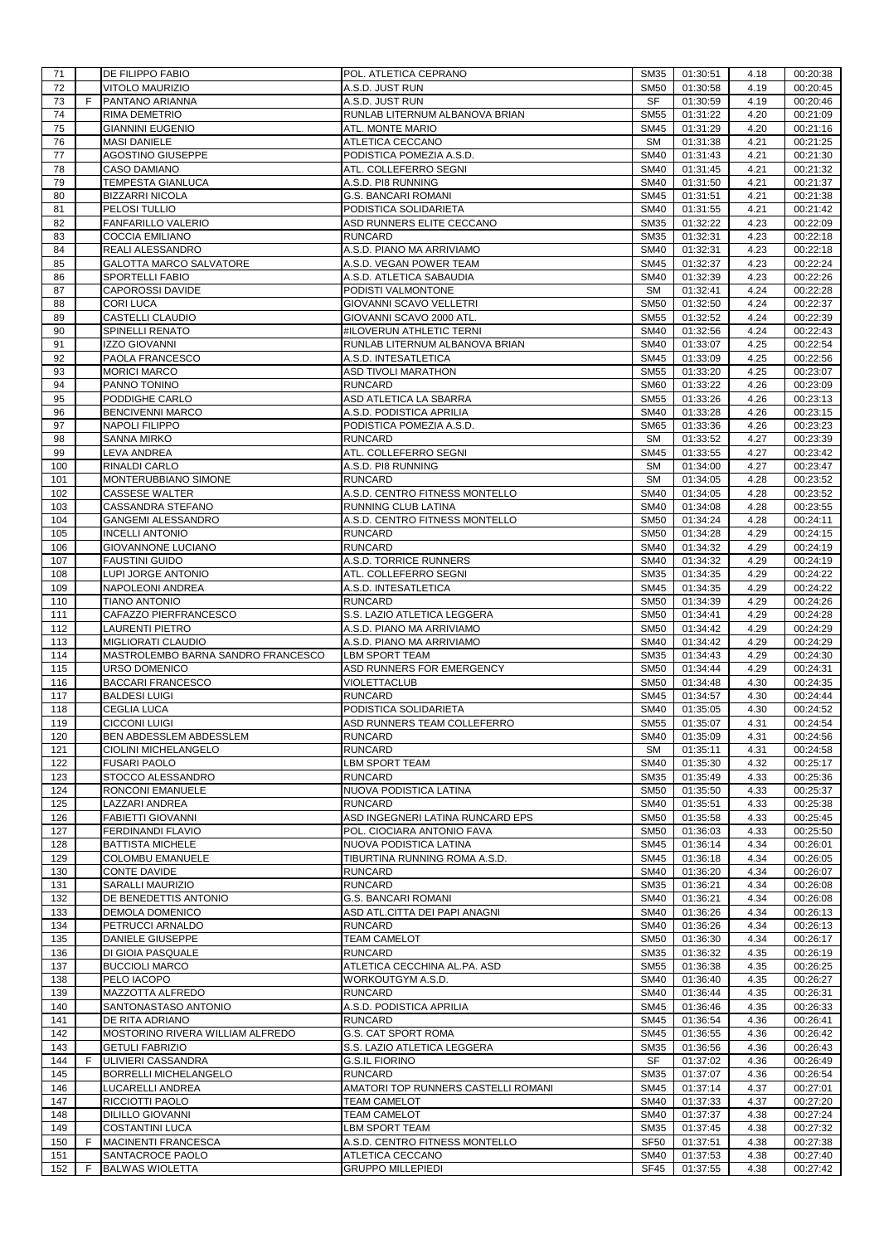| 71         |   | <b>DE FILIPPO FABIO</b>                                         | POL. ATLETICA CEPRANO                                       | SM35                       | 01:30:51             | 4.18         | 00:20:38             |
|------------|---|-----------------------------------------------------------------|-------------------------------------------------------------|----------------------------|----------------------|--------------|----------------------|
| 72<br>73   | F | <b>VITOLO MAURIZIO</b><br>PANTANO ARIANNA                       | A.S.D. JUST RUN<br>A.S.D. JUST RUN                          | <b>SM50</b><br><b>SF</b>   | 01:30:58<br>01:30:59 | 4.19<br>4.19 | 00:20:45<br>00:20:46 |
| 74         |   | RIMA DEMETRIO                                                   | RUNLAB LITERNUM ALBANOVA BRIAN                              | <b>SM55</b>                | 01:31:22             | 4.20         | 00:21:09             |
| 75         |   | <b>GIANNINI EUGENIO</b>                                         | ATL. MONTE MARIO                                            | <b>SM45</b>                | 01:31:29             | 4.20         | 00:21:16             |
| 76         |   | <b>MASI DANIELE</b>                                             | ATLETICA CECCANO                                            | <b>SM</b>                  | 01:31:38             | 4.21         | 00:21:25             |
| 77         |   | AGOSTINO GIUSEPPE                                               | PODISTICA POMEZIA A.S.D.                                    | <b>SM40</b>                | 01:31:43             | 4.21         | 00:21:30             |
| 78         |   | <b>CASO DAMIANO</b><br>TEMPESTA GIANLUCA                        | ATL. COLLEFERRO SEGNI                                       | <b>SM40</b><br><b>SM40</b> | 01:31:45             | 4.21         | 00:21:32             |
| 79<br>80   |   | <b>BIZZARRI NICOLA</b>                                          | A.S.D. PI8 RUNNING<br><b>G.S. BANCARI ROMANI</b>            | <b>SM45</b>                | 01:31:50<br>01:31:51 | 4.21<br>4.21 | 00:21:37<br>00:21:38 |
| 81         |   | PELOSI TULLIO                                                   | PODISTICA SOLIDARIETA                                       | <b>SM40</b>                | 01:31:55             | 4.21         | 00:21:42             |
| 82         |   | <b>FANFARILLO VALERIO</b>                                       | ASD RUNNERS ELITE CECCANO                                   | <b>SM35</b>                | 01:32:22             | 4.23         | 00:22:09             |
| 83         |   | <b>COCCIA EMILIANO</b>                                          | <b>RUNCARD</b>                                              | <b>SM35</b>                | 01:32:31             | 4.23         | 00:22:18             |
| 84         |   | <b>REALI ALESSANDRO</b>                                         | A.S.D. PIANO MA ARRIVIAMO                                   | <b>SM40</b>                | 01:32:31             | 4.23         | 00:22:18             |
| 85         |   | <b>GALOTTA MARCO SALVATORE</b>                                  | A.S.D. VEGAN POWER TEAM                                     | <b>SM45</b>                | 01:32:37             | 4.23         | 00:22:24             |
| 86         |   | SPORTELLI FABIO                                                 | A.S.D. ATLETICA SABAUDIA                                    | <b>SM40</b>                | 01:32:39             | 4.23         | 00:22:26             |
| 87<br>88   |   | <b>CAPOROSSI DAVIDE</b><br><b>CORI LUCA</b>                     | PODISTI VALMONTONE<br><b>GIOVANNI SCAVO VELLETRI</b>        | <b>SM</b><br><b>SM50</b>   | 01:32:41<br>01:32:50 | 4.24<br>4.24 | 00:22:28<br>00:22:37 |
| 89         |   | CASTELLI CLAUDIO                                                | GIOVANNI SCAVO 2000 ATL.                                    | <b>SM55</b>                | 01:32:52             | 4.24         | 00:22:39             |
| 90         |   | SPINELLI RENATO                                                 | #ILOVERUN ATHLETIC TERNI                                    | <b>SM40</b>                | 01:32:56             | 4.24         | 00:22:43             |
| 91         |   | <b>IZZO GIOVANNI</b>                                            | RUNLAB LITERNUM ALBANOVA BRIAN                              | <b>SM40</b>                | 01:33:07             | 4.25         | 00:22:54             |
| 92         |   | PAOLA FRANCESCO                                                 | A.S.D. INTESATLETICA                                        | <b>SM45</b>                | 01:33:09             | 4.25         | 00:22:56             |
| 93         |   | <b>MORICI MARCO</b>                                             | <b>ASD TIVOLI MARATHON</b>                                  | <b>SM55</b>                | 01:33:20             | 4.25         | 00:23:07             |
| 94         |   | PANNO TONINO                                                    | <b>RUNCARD</b>                                              | <b>SM60</b>                | 01:33:22             | 4.26         | 00:23:09             |
| 95<br>96   |   | PODDIGHE CARLO<br><b>BENCIVENNI MARCO</b>                       | ASD ATLETICA LA SBARRA<br>A.S.D. PODISTICA APRILIA          | <b>SM55</b><br><b>SM40</b> | 01:33:26<br>01:33:28 | 4.26<br>4.26 | 00:23:13<br>00:23:15 |
| 97         |   | <b>NAPOLI FILIPPO</b>                                           | PODISTICA POMEZIA A.S.D.                                    | <b>SM65</b>                | 01:33:36             | 4.26         | 00:23:23             |
| 98         |   | <b>SANNA MIRKO</b>                                              | <b>RUNCARD</b>                                              | <b>SM</b>                  | 01:33:52             | 4.27         | 00:23:39             |
| 99         |   | LEVA ANDREA                                                     | ATL. COLLEFERRO SEGNI                                       | <b>SM45</b>                | 01:33:55             | 4.27         | 00:23:42             |
| 100        |   | RINALDI CARLO                                                   | A.S.D. PI8 RUNNING                                          | <b>SM</b>                  | 01:34:00             | 4.27         | 00:23:47             |
| 101        |   | MONTERUBBIANO SIMONE                                            | <b>RUNCARD</b>                                              | <b>SM</b>                  | 01:34:05             | 4.28         | 00:23:52             |
| 102        |   | <b>CASSESE WALTER</b>                                           | A.S.D. CENTRO FITNESS MONTELLO                              | <b>SM40</b>                | 01:34:05             | 4.28         | 00:23:52             |
| 103        |   | CASSANDRA STEFANO                                               | RUNNING CLUB LATINA                                         | <b>SM40</b>                | 01:34:08             | 4.28         | 00:23:55             |
| 104<br>105 |   | <b>GANGEMI ALESSANDRO</b><br><b>INCELLI ANTONIO</b>             | A.S.D. CENTRO FITNESS MONTELLO<br><b>RUNCARD</b>            | <b>SM50</b><br><b>SM50</b> | 01:34:24<br>01:34:28 | 4.28<br>4.29 | 00:24:11<br>00:24:15 |
| 106        |   | <b>GIOVANNONE LUCIANO</b>                                       | <b>RUNCARD</b>                                              | <b>SM40</b>                | 01:34:32             | 4.29         | 00:24:19             |
| 107        |   | <b>FAUSTINI GUIDO</b>                                           | A.S.D. TORRICE RUNNERS                                      | <b>SM40</b>                | 01:34:32             | 4.29         | 00:24:19             |
| 108        |   | LUPI JORGE ANTONIO                                              | ATL. COLLEFERRO SEGNI                                       | <b>SM35</b>                | 01:34:35             | 4.29         | 00:24:22             |
| 109        |   | NAPOLEONI ANDREA                                                | A.S.D. INTESATLETICA                                        | <b>SM45</b>                | 01:34:35             | 4.29         | 00:24:22             |
| 110        |   | <b>TIANO ANTONIO</b>                                            | <b>RUNCARD</b>                                              | <b>SM50</b>                | 01:34:39             | 4.29         | 00:24:26             |
| 111        |   | CAFAZZO PIERFRANCESCO                                           | S.S. LAZIO ATLETICA LEGGERA                                 | <b>SM50</b>                | 01:34:41             | 4.29         | 00:24:28             |
| 112        |   | <b>LAURENTI PIETRO</b>                                          | A.S.D. PIANO MA ARRIVIAMO                                   | <b>SM50</b>                | 01:34:42             | 4.29         | 00:24:29             |
| 113<br>114 |   | <b>MIGLIORATI CLAUDIO</b><br>MASTROLEMBO BARNA SANDRO FRANCESCO | A.S.D. PIANO MA ARRIVIAMO<br><b>LBM SPORT TEAM</b>          | <b>SM40</b><br><b>SM35</b> | 01:34:42<br>01:34:43 | 4.29<br>4.29 | 00:24:29<br>00:24:30 |
| 115        |   | URSO DOMENICO                                                   | ASD RUNNERS FOR EMERGENCY                                   | <b>SM50</b>                | 01:34:44             | 4.29         | 00:24:31             |
| 116        |   | <b>BACCARI FRANCESCO</b>                                        | VIOLETTACLUB                                                | <b>SM50</b>                | 01:34:48             | 4.30         | 00:24:35             |
| 117        |   | <b>BALDESI LUIGI</b>                                            | <b>RUNCARD</b>                                              | <b>SM45</b>                | 01:34:57             | 4.30         | 00:24:44             |
| 118        |   | <b>CEGLIA LUCA</b>                                              | PODISTICA SOLIDARIETA                                       | <b>SM40</b>                | 01:35:05             | 4.30         | 00:24:52             |
| 119        |   | <b>CICCONI LUIGI</b>                                            | ASD RUNNERS TEAM COLLEFERRO                                 | <b>SM55</b>                | 01:35:07             | 4.31         | 00:24:54             |
| 120        |   | BEN ABDESSLEM ABDESSLEM                                         | <b>RUNCARD</b>                                              | SM40                       | 01:35:09             | 4.31         | 00:24:56             |
| 121        |   | CIOLINI MICHELANGELO                                            | <b>RUNCARD</b>                                              | <b>SM</b>                  | 01:35:11             | 4.31         | 00:24:58             |
| 122<br>123 |   | <b>FUSARI PAOLO</b><br>STOCCO ALESSANDRO                        | <b>LBM SPORT TEAM</b><br><b>RUNCARD</b>                     | <b>SM40</b><br><b>SM35</b> | 01:35:30<br>01:35:49 | 4.32<br>4.33 | 00:25:17<br>00:25:36 |
| 124        |   | RONCONI EMANUELE                                                | NUOVA PODISTICA LATINA                                      | <b>SM50</b>                | 01:35:50             | 4.33         | 00:25:37             |
| 125        |   | LAZZARI ANDREA                                                  | <b>RUNCARD</b>                                              | <b>SM40</b>                | 01:35:51             | 4.33         | 00:25:38             |
| 126        |   | <b>FABIETTI GIOVANNI</b>                                        | ASD INGEGNERI LATINA RUNCARD EPS                            | <b>SM50</b>                | 01:35:58             | 4.33         | 00:25:45             |
| 127        |   | FERDINANDI FLAVIO                                               | POL. CIOCIARA ANTONIO FAVA                                  | <b>SM50</b>                | 01:36:03             | 4.33         | 00:25:50             |
| 128        |   | <b>BATTISTA MICHELE</b>                                         | NUOVA PODISTICA LATINA                                      | <b>SM45</b>                | 01:36:14             | 4.34         | 00:26:01             |
| 129        |   | <b>COLOMBU EMANUELE</b><br><b>CONTE DAVIDE</b>                  | TIBURTINA RUNNING ROMA A.S.D.                               | <b>SM45</b>                | 01:36:18             | 4.34         | 00:26:05             |
| 130        |   |                                                                 |                                                             |                            |                      |              |                      |
|            |   |                                                                 | <b>RUNCARD</b>                                              | <b>SM40</b>                | 01:36:20             | 4.34         | 00:26:07             |
| 131        |   | <b>SARALLI MAURIZIO</b>                                         | <b>RUNCARD</b>                                              | <b>SM35</b>                | 01:36:21             | 4.34         | 00:26:08             |
| 132<br>133 |   | DE BENEDETTIS ANTONIO<br>DEMOLA DOMENICO                        | <b>G.S. BANCARI ROMANI</b><br>ASD ATL.CITTA DEI PAPI ANAGNI | <b>SM40</b><br><b>SM40</b> | 01:36:21<br>01:36:26 | 4.34<br>4.34 | 00:26:08<br>00:26:13 |
| 134        |   | PETRUCCI ARNALDO                                                | <b>RUNCARD</b>                                              | <b>SM40</b>                | 01:36:26             | 4.34         | 00:26:13             |
| 135        |   | <b>DANIELE GIUSEPPE</b>                                         | <b>TEAM CAMELOT</b>                                         | <b>SM50</b>                | 01:36:30             | 4.34         | 00:26:17             |
| 136        |   | DI GIOIA PASQUALE                                               | <b>RUNCARD</b>                                              | <b>SM35</b>                | 01:36:32             | 4.35         | 00:26:19             |
| 137        |   | <b>BUCCIOLI MARCO</b>                                           | ATLETICA CECCHINA AL.PA. ASD                                | <b>SM55</b>                | 01:36:38             | 4.35         | 00:26:25             |
| 138        |   | PELO IACOPO                                                     | WORKOUTGYM A.S.D.                                           | <b>SM40</b>                | 01:36:40             | 4.35         | 00:26:27             |
| 139        |   | MAZZOTTA ALFREDO                                                | <b>RUNCARD</b>                                              | <b>SM40</b>                | 01:36:44             | 4.35         | 00:26:31             |
| 140        |   | SANTONASTASO ANTONIO                                            | A.S.D. PODISTICA APRILIA                                    | <b>SM45</b>                | 01:36:46             | 4.35         | 00:26:33             |
| 141<br>142 |   | DE RITA ADRIANO<br>MOSTORINO RIVERA WILLIAM ALFREDO             | <b>RUNCARD</b><br>G.S. CAT SPORT ROMA                       | <b>SM45</b><br><b>SM45</b> | 01:36:54<br>01:36:55 | 4.36<br>4.36 | 00:26:41<br>00:26:42 |
| 143        |   | <b>GETULI FABRIZIO</b>                                          | S.S. LAZIO ATLETICA LEGGERA                                 | <b>SM35</b>                | 01:36:56             | 4.36         | 00:26:43             |
| 144        | F | ULIVIERI CASSANDRA                                              | <b>G.S.IL FIORINO</b>                                       | SF                         | 01:37:02             | 4.36         | 00:26:49             |
| 145        |   | <b>BORRELLI MICHELANGELO</b>                                    | <b>RUNCARD</b>                                              | <b>SM35</b>                | 01:37:07             | 4.36         | 00:26:54             |
| 146        |   | LUCARELLI ANDREA                                                | AMATORI TOP RUNNERS CASTELLI ROMANI                         | <b>SM45</b>                | 01:37:14             | 4.37         | 00:27:01             |
| 147        |   | RICCIOTTI PAOLO                                                 | <b>TEAM CAMELOT</b>                                         | <b>SM40</b>                | 01:37:33             | 4.37         | 00:27:20             |
| 148        |   | <b>DILILLO GIOVANNI</b>                                         | <b>TEAM CAMELOT</b>                                         | <b>SM40</b>                | 01:37:37             | 4.38         | 00:27:24             |
| 149<br>150 | F | <b>COSTANTINI LUCA</b><br><b>MACINENTI FRANCESCA</b>            | <b>LBM SPORT TEAM</b><br>A.S.D. CENTRO FITNESS MONTELLO     | <b>SM35</b><br><b>SF50</b> | 01:37:45<br>01:37:51 | 4.38<br>4.38 | 00:27:32<br>00:27:38 |
| 151        |   | SANTACROCE PAOLO                                                | ATLETICA CECCANO                                            | <b>SM40</b>                | 01:37:53             | 4.38         | 00:27:40             |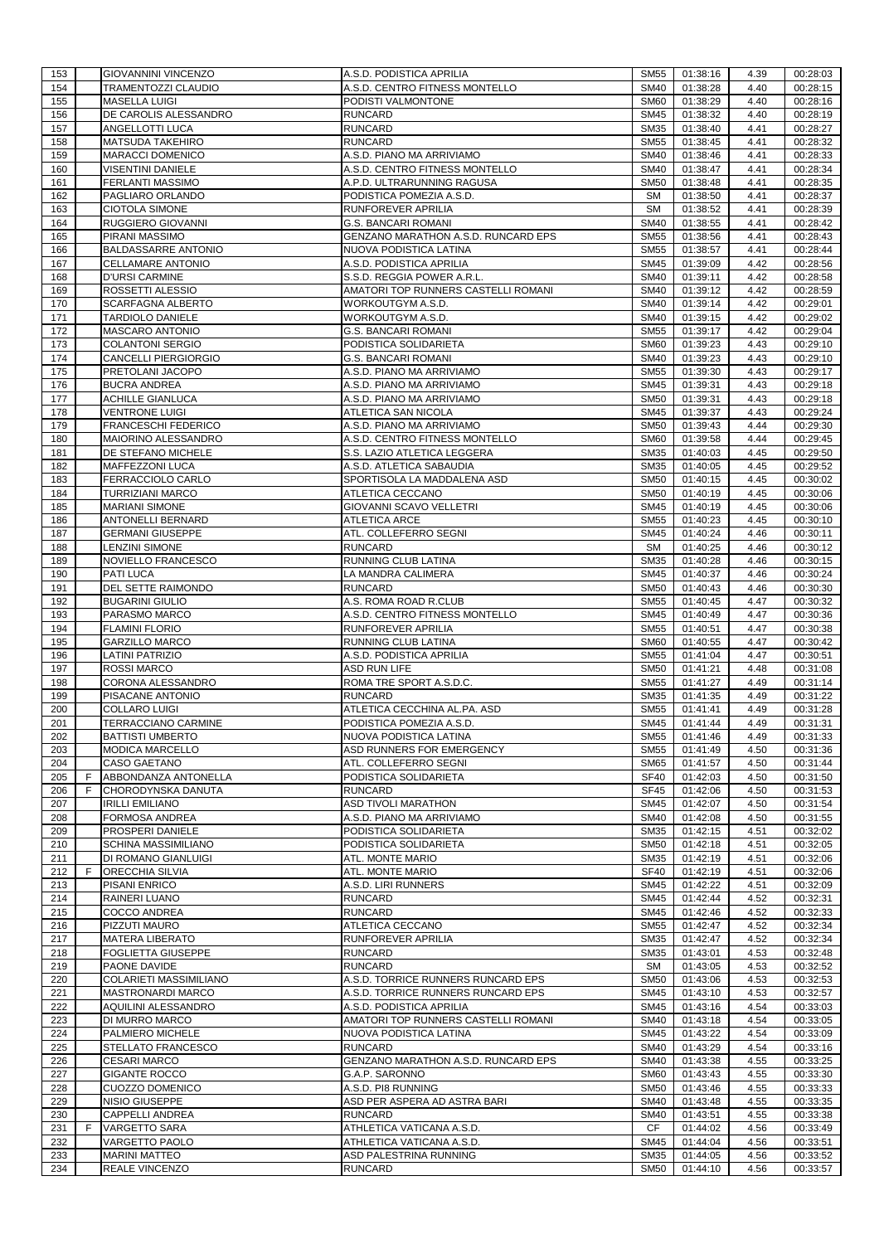| 153        |   | <b>GIOVANNINI VINCENZO</b>                      | A.S.D. PODISTICA APRILIA                                       | SM55                       | 01:38:16             | 4.39         | 00:28:03             |
|------------|---|-------------------------------------------------|----------------------------------------------------------------|----------------------------|----------------------|--------------|----------------------|
| 154        |   | <b>TRAMENTOZZI CLAUDIO</b>                      | A.S.D. CENTRO FITNESS MONTELLO                                 | <b>SM40</b>                | 01:38:28             | 4.40         | 00:28:15             |
| 155        |   | <b>MASELLA LUIGI</b>                            | PODISTI VALMONTONE                                             | <b>SM60</b>                | 01:38:29             | 4.40         | 00:28:16             |
| 156        |   | DE CAROLIS ALESSANDRO                           | <b>RUNCARD</b>                                                 | <b>SM45</b>                | 01:38:32             | 4.40         | 00:28:19             |
| 157        |   | ANGELLOTTI LUCA                                 | <b>RUNCARD</b>                                                 | <b>SM35</b>                | 01:38:40             | 4.41         | 00:28:27             |
| 158        |   | <b>MATSUDA TAKEHIRO</b>                         | <b>RUNCARD</b>                                                 | <b>SM55</b>                | 01:38:45             | 4.41         | 00:28:32             |
| 159        |   | <b>MARACCI DOMENICO</b>                         | A.S.D. PIANO MA ARRIVIAMO                                      | <b>SM40</b>                | 01:38:46             | 4.41         | 00:28:33             |
| 160        |   | VISENTINI DANIELE                               | A.S.D. CENTRO FITNESS MONTELLO                                 | <b>SM40</b>                | 01:38:47             | 4.41         | 00:28:34             |
| 161        |   | FERLANTI MASSIMO                                | A.P.D. ULTRARUNNING RAGUSA                                     | <b>SM50</b>                | 01:38:48             | 4.41         | 00:28:35             |
| 162        |   | PAGLIARO ORLANDO                                | PODISTICA POMEZIA A.S.D.                                       | <b>SM</b>                  | 01:38:50             | 4.41         | 00:28:37             |
| 163        |   | <b>CIOTOLA SIMONE</b>                           | RUNFOREVER APRILIA                                             | <b>SM</b>                  | 01:38:52             | 4.41         | 00:28:39             |
| 164        |   | RUGGIERO GIOVANNI                               | <b>G.S. BANCARI ROMANI</b>                                     | <b>SM40</b>                | 01:38:55             | 4.41         | 00:28:42             |
| 165        |   | PIRANI MASSIMO                                  | GENZANO MARATHON A.S.D. RUNCARD EPS                            | <b>SM55</b>                | 01:38:56             | 4.41         | 00:28:43             |
| 166        |   | <b>BALDASSARRE ANTONIO</b>                      | NUOVA PODISTICA LATINA                                         | <b>SM55</b>                | 01:38:57             | 4.41         | 00:28:44             |
| 167        |   | CELLAMARE ANTONIO                               | A.S.D. PODISTICA APRILIA                                       | <b>SM45</b>                | 01:39:09             | 4.42         | 00:28:56             |
| 168        |   | <b>D'URSI CARMINE</b>                           | S.S.D. REGGIA POWER A.R.L.                                     | <b>SM40</b>                | 01:39:11             | 4.42         | 00:28:58             |
| 169        |   | ROSSETTI ALESSIO                                | AMATORI TOP RUNNERS CASTELLI ROMANI                            | <b>SM40</b>                | 01:39:12             | 4.42         | 00:28:59             |
| 170        |   | SCARFAGNA ALBERTO                               | WORKOUTGYM A.S.D.                                              | <b>SM40</b>                | 01:39:14             | 4.42         | 00:29:01             |
| 171        |   | <b>TARDIOLO DANIELE</b>                         | WORKOUTGYM A.S.D.                                              | <b>SM40</b>                | 01:39:15             | 4.42         | 00:29:02             |
| 172        |   | MASCARO ANTONIO                                 | <b>G.S. BANCARI ROMANI</b>                                     | <b>SM55</b>                | 01:39:17             | 4.42         | 00:29:04             |
| 173        |   | <b>COLANTONI SERGIO</b><br>CANCELLI PIERGIORGIO | PODISTICA SOLIDARIETA<br><b>G.S. BANCARI ROMANI</b>            | <b>SM60</b>                | 01:39:23             | 4.43         | 00:29:10             |
| 174<br>175 |   | PRETOLANI JACOPO                                | A.S.D. PIANO MA ARRIVIAMO                                      | <b>SM40</b><br><b>SM55</b> | 01:39:23<br>01:39:30 | 4.43<br>4.43 | 00:29:10             |
| 176        |   |                                                 |                                                                | <b>SM45</b>                |                      |              | 00:29:17             |
| 177        |   | <b>BUCRA ANDREA</b><br><b>ACHILLE GIANLUCA</b>  | A.S.D. PIANO MA ARRIVIAMO<br>A.S.D. PIANO MA ARRIVIAMO         | <b>SM50</b>                | 01:39:31<br>01:39:31 | 4.43<br>4.43 | 00:29:18<br>00:29:18 |
| 178        |   |                                                 |                                                                |                            |                      | 4.43         |                      |
| 179        |   | <b>VENTRONE LUIGI</b><br>FRANCESCHI FEDERICO    | ATLETICA SAN NICOLA<br>A.S.D. PIANO MA ARRIVIAMO               | <b>SM45</b><br><b>SM50</b> | 01:39:37<br>01:39:43 | 4.44         | 00:29:24<br>00:29:30 |
| 180        |   | MAIORINO ALESSANDRO                             | A.S.D. CENTRO FITNESS MONTELLO                                 | <b>SM60</b>                | 01:39:58             | 4.44         | 00:29:45             |
| 181        |   | DE STEFANO MICHELE                              | S.S. LAZIO ATLETICA LEGGERA                                    | <b>SM35</b>                | 01:40:03             | 4.45         | 00:29:50             |
| 182        |   | <b>MAFFEZZONI LUCA</b>                          | A.S.D. ATLETICA SABAUDIA                                       | <b>SM35</b>                | 01:40:05             | 4.45         | 00:29:52             |
| 183        |   | FERRACCIOLO CARLO                               | SPORTISOLA LA MADDALENA ASD                                    | <b>SM50</b>                | 01:40:15             | 4.45         | 00:30:02             |
| 184        |   | <b>TURRIZIANI MARCO</b>                         | ATLETICA CECCANO                                               | <b>SM50</b>                | 01:40:19             | 4.45         | 00:30:06             |
| 185        |   | <b>MARIANI SIMONE</b>                           | GIOVANNI SCAVO VELLETRI                                        | <b>SM45</b>                | 01:40:19             | 4.45         | 00:30:06             |
| 186        |   | ANTONELLI BERNARD                               | <b>ATLETICA ARCE</b>                                           | <b>SM55</b>                | 01:40:23             | 4.45         | 00:30:10             |
| 187        |   | <b>GERMANI GIUSEPPE</b>                         | ATL. COLLEFERRO SEGNI                                          | <b>SM45</b>                | 01:40:24             | 4.46         | 00:30:11             |
| 188        |   | <b>LENZINI SIMONE</b>                           | <b>RUNCARD</b>                                                 | <b>SM</b>                  | 01:40:25             | 4.46         | 00:30:12             |
| 189        |   | NOVIELLO FRANCESCO                              | RUNNING CLUB LATINA                                            | <b>SM35</b>                | 01:40:28             | 4.46         | 00:30:15             |
| 190        |   | PATI LUCA                                       | LA MANDRA CALIMERA                                             | <b>SM45</b>                | 01:40:37             | 4.46         | 00:30:24             |
| 191        |   | DEL SETTE RAIMONDO                              | <b>RUNCARD</b>                                                 | <b>SM50</b>                | 01:40:43             | 4.46         | 00:30:30             |
| 192        |   | <b>BUGARINI GIULIO</b>                          | A.S. ROMA ROAD R.CLUB                                          | <b>SM55</b>                | 01:40:45             | 4.47         | 00:30:32             |
| 193        |   | PARASMO MARCO                                   | A.S.D. CENTRO FITNESS MONTELLO                                 | <b>SM45</b>                | 01:40:49             | 4.47         | 00:30:36             |
| 194        |   | <b>FLAMINI FLORIO</b>                           | RUNFOREVER APRILIA                                             | <b>SM55</b>                | 01:40:51             | 4.47         | 00:30:38             |
| 195        |   | <b>GARZILLO MARCO</b>                           | RUNNING CLUB LATINA                                            | <b>SM60</b>                | 01:40:55             | 4.47         | 00:30:42             |
| 196        |   | <b>LATINI PATRIZIO</b>                          | A.S.D. PODISTICA APRILIA                                       | <b>SM55</b>                | 01:41:04             | 4.47         | 00:30:51             |
| 197        |   | <b>ROSSI MARCO</b>                              | <b>ASD RUN LIFE</b>                                            | <b>SM50</b>                | 01:41:21             | 4.48         | 00:31:08             |
| 198        |   | CORONA ALESSANDRO                               | ROMA TRE SPORT A.S.D.C.                                        | <b>SM55</b>                | 01:41:27             | 4.49         | 00:31:14             |
| 199        |   | PISACANE ANTONIO                                | <b>RUNCARD</b>                                                 | <b>SM35</b>                | 01:41:35             | 4.49         | 00:31:22             |
| 200        |   | <b>COLLARO LUIGI</b>                            | ATLETICA CECCHINA AL.PA. ASD                                   | <b>SM55</b>                | 01:41:41             | 4.49         | 00:31:28             |
| 201        |   | <b>TERRACCIANO CARMINE</b>                      | PODISTICA POMEZIA A.S.D.                                       | <b>SM45</b>                | 01:41:44             | 4.49         | 00:31:31             |
| 202        |   | <b>BATTISTI UMBERTO</b>                         | NUOVA PODISTICA LATINA                                         | SM55                       | 01:41:46             | 4.49         | 00:31:33             |
| 203        |   | <b>MODICA MARCELLO</b>                          | ASD RUNNERS FOR EMERGENCY                                      | <b>SM55</b>                | 01:41:49             | 4.50         | 00:31:36             |
| 204        |   | <b>CASO GAETANO</b>                             | ATL. COLLEFERRO SEGNI                                          | <b>SM65</b>                | 01:41:57             | 4.50         | 00:31:44             |
| 205        | F | ABBONDANZA ANTONELLA                            | PODISTICA SOLIDARIETA                                          | <b>SF40</b>                | 01:42:03             | 4.50         | 00:31:50             |
| 206        | F | CHORODYNSKA DANUTA                              | <b>RUNCARD</b>                                                 | <b>SF45</b>                | 01:42:06             | 4.50         | 00:31:53             |
| 207        |   | <b>IRILLI EMILIANO</b>                          | <b>ASD TIVOLI MARATHON</b>                                     | <b>SM45</b>                | 01:42:07             | 4.50         | 00:31:54             |
| 208        |   | <b>FORMOSA ANDREA</b>                           | A.S.D. PIANO MA ARRIVIAMO                                      | <b>SM40</b>                | 01:42:08             | 4.50         | 00:31:55             |
| 209        |   | PROSPERI DANIELE                                | PODISTICA SOLIDARIETA                                          | SM35                       | 01:42:15             | 4.51         | 00:32:02             |
| 210        |   | SCHINA MASSIMILIANO                             | PODISTICA SOLIDARIETA                                          | <b>SM50</b>                | 01:42:18             | 4.51         | 00:32:05             |
| 211        |   | <b>DI ROMANO GIANLUIGI</b>                      | ATL. MONTE MARIO                                               | <b>SM35</b>                | 01:42:19             | 4.51         | 00:32:06             |
| 212        | F | <b>ORECCHIA SILVIA</b>                          | ATL. MONTE MARIO                                               | <b>SF40</b>                | 01:42:19             | 4.51         | 00:32:06             |
| 213        |   | PISANI ENRICO                                   | A.S.D. LIRI RUNNERS                                            | <b>SM45</b>                | 01:42:22             | 4.51         | 00:32:09             |
| 214        |   | RAINERI LUANO                                   | <b>RUNCARD</b>                                                 | <b>SM45</b>                | 01:42:44             | 4.52         | 00:32:31             |
| 215        |   | <b>COCCO ANDREA</b>                             | <b>RUNCARD</b>                                                 | <b>SM45</b>                | 01:42:46             | 4.52         | 00:32:33             |
| 216        |   | PIZZUTI MAURO                                   | ATLETICA CECCANO                                               | <b>SM55</b>                | 01:42:47             | 4.52         | 00:32:34             |
| 217        |   | <b>MATERA LIBERATO</b>                          | <b>RUNFOREVER APRILIA</b>                                      | <b>SM35</b>                | 01:42:47             | 4.52         | 00:32:34             |
| 218        |   | <b>FOGLIETTA GIUSEPPE</b>                       | <b>RUNCARD</b>                                                 | <b>SM35</b>                | 01:43:01             | 4.53         | 00:32:48             |
| 219        |   | PAONE DAVIDE                                    | <b>RUNCARD</b>                                                 | <b>SM</b>                  | 01:43:05             | 4.53         | 00:32:52             |
| 220        |   | COLARIETI MASSIMILIANO                          | A.S.D. TORRICE RUNNERS RUNCARD EPS                             | <b>SM50</b>                | 01:43:06<br>01:43:10 | 4.53         | 00:32:53             |
| 221<br>222 |   | <b>MASTRONARDI MARCO</b><br>AQUILINI ALESSANDRO | A.S.D. TORRICE RUNNERS RUNCARD EPS<br>A.S.D. PODISTICA APRILIA | <b>SM45</b><br><b>SM45</b> | 01:43:16             | 4.53<br>4.54 | 00:32:57<br>00:33:03 |
| 223        |   | DI MURRO MARCO                                  | AMATORI TOP RUNNERS CASTELLI ROMANI                            | <b>SM40</b>                | 01:43:18             | 4.54         | 00:33:05             |
| 224        |   | PALMIERO MICHELE                                | NUOVA PODISTICA LATINA                                         | <b>SM45</b>                | 01:43:22             | 4.54         | 00:33:09             |
| 225        |   | STELLATO FRANCESCO                              | <b>RUNCARD</b>                                                 | <b>SM40</b>                | 01:43:29             | 4.54         | 00:33:16             |
| 226        |   | <b>CESARI MARCO</b>                             | GENZANO MARATHON A.S.D. RUNCARD EPS                            | <b>SM40</b>                | 01:43:38             | 4.55         | 00:33:25             |
| 227        |   | <b>GIGANTE ROCCO</b>                            | G.A.P. SARONNO                                                 | <b>SM60</b>                | 01:43:43             | 4.55         | 00:33:30             |
| 228        |   | <b>CUOZZO DOMENICO</b>                          | A.S.D. PI8 RUNNING                                             | <b>SM50</b>                | 01:43:46             | 4.55         | 00:33:33             |
| 229        |   | <b>NISIO GIUSEPPE</b>                           | ASD PER ASPERA AD ASTRA BARI                                   | <b>SM40</b>                | 01:43:48             | 4.55         | 00:33:35             |
| 230        |   | <b>CAPPELLI ANDREA</b>                          | <b>RUNCARD</b>                                                 | <b>SM40</b>                | 01:43:51             | 4.55         | 00:33:38             |
| 231        | F | <b>VARGETTO SARA</b>                            | ATHLETICA VATICANA A.S.D.                                      | CF                         | 01:44:02             | 4.56         | 00:33:49             |
| 232        |   | VARGETTO PAOLO                                  | ATHLETICA VATICANA A.S.D.                                      | <b>SM45</b>                | 01:44:04             | 4.56         | 00:33:51             |
| 233        |   | <b>MARINI MATTEO</b>                            | ASD PALESTRINA RUNNING                                         | <b>SM35</b>                | 01:44:05             | 4.56         | 00:33:52             |
| 234        |   | REALE VINCENZO                                  | <b>RUNCARD</b>                                                 | <b>SM50</b>                | 01:44:10             | 4.56         | 00:33:57             |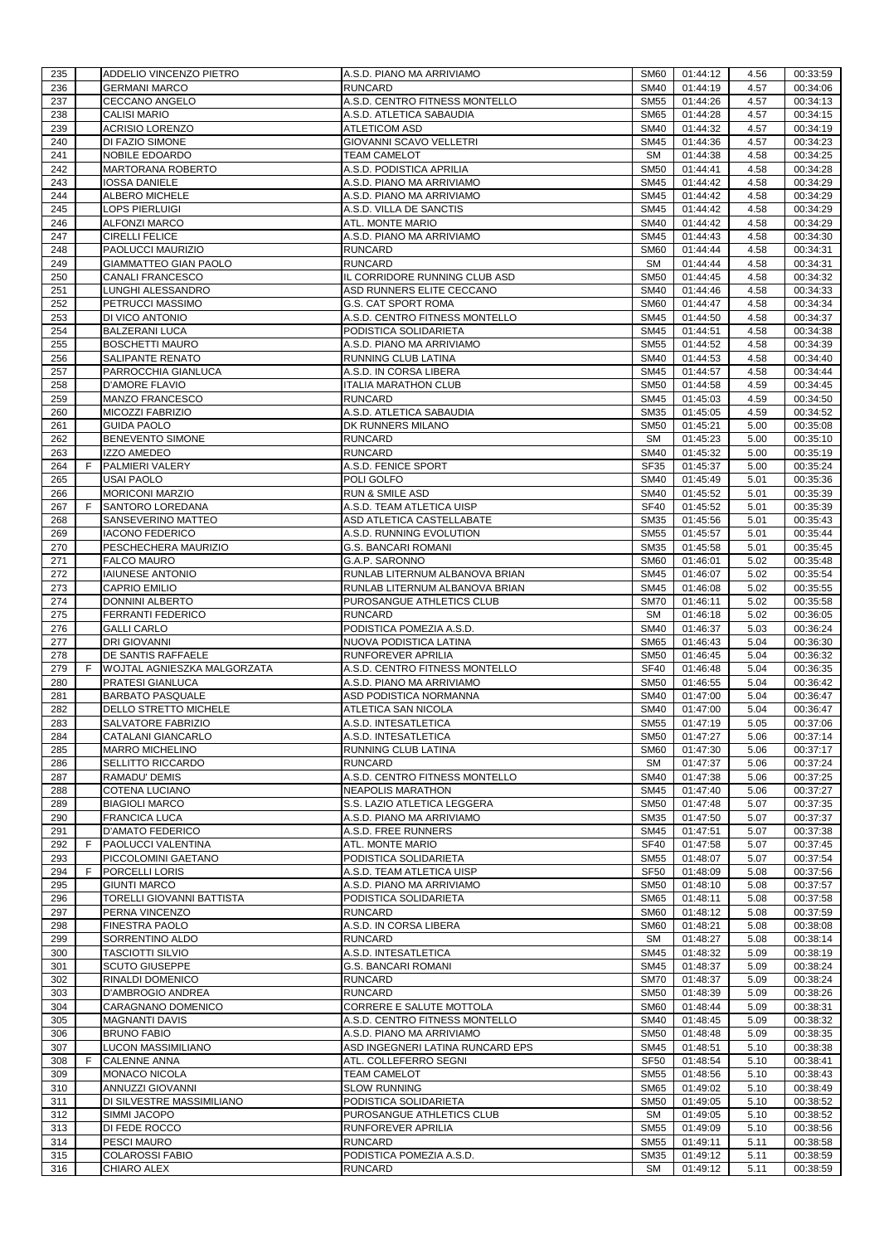| 235        |   | ADDELIO VINCENZO PIETRO                      | A.S.D. PIANO MA ARRIVIAMO                          | <b>SM60</b>                | 01:44:12             | 4.56         | 00:33:59             |
|------------|---|----------------------------------------------|----------------------------------------------------|----------------------------|----------------------|--------------|----------------------|
| 236        |   | <b>GERMANI MARCO</b>                         | <b>RUNCARD</b>                                     | <b>SM40</b>                | 01:44:19             | 4.57         | 00:34:06             |
| 237        |   | CECCANO ANGELO                               | A.S.D. CENTRO FITNESS MONTELLO                     | <b>SM55</b>                | 01:44:26             | 4.57         | 00:34:13             |
| 238        |   | <b>CALISI MARIO</b>                          | A.S.D. ATLETICA SABAUDIA                           | <b>SM65</b>                | 01:44:28             | 4.57         | 00:34:15             |
| 239        |   | <b>ACRISIO LORENZO</b>                       | <b>ATLETICOM ASD</b>                               | <b>SM40</b>                | 01:44:32             | 4.57         | 00:34:19             |
| 240        |   | DI FAZIO SIMONE                              | GIOVANNI SCAVO VELLETRI                            | SM45                       | 01:44:36             | 4.57         | 00:34:23             |
| 241        |   | NOBILE EDOARDO                               | <b>TEAM CAMELOT</b>                                | <b>SM</b>                  | 01:44:38             | 4.58         | 00:34:25             |
| 242        |   | MARTORANA ROBERTO                            | A.S.D. PODISTICA APRILIA                           | <b>SM50</b>                | 01:44:41             | 4.58         | 00:34:28             |
| 243        |   | IOSSA DANIELE                                | A.S.D. PIANO MA ARRIVIAMO                          | <b>SM45</b>                | 01:44:42             | 4.58         | 00:34:29             |
| 244        |   | ALBERO MICHELE                               | A.S.D. PIANO MA ARRIVIAMO                          | <b>SM45</b>                | 01:44:42             | 4.58         | 00:34:29             |
|            |   |                                              |                                                    |                            |                      |              |                      |
| 245        |   | LOPS PIERLUIGI                               | A.S.D. VILLA DE SANCTIS                            | <b>SM45</b>                | 01:44:42             | 4.58         | 00:34:29             |
| 246        |   | <b>ALFONZI MARCO</b>                         | ATL. MONTE MARIO                                   | <b>SM40</b>                | 01:44:42             | 4.58         | 00:34:29             |
| 247        |   | <b>CIRELLI FELICE</b>                        | A.S.D. PIANO MA ARRIVIAMO                          | <b>SM45</b>                | 01:44:43             | 4.58         | 00:34:30             |
| 248        |   | PAOLUCCI MAURIZIO                            | <b>RUNCARD</b>                                     | <b>SM60</b>                | 01:44:44             | 4.58         | 00:34:31             |
| 249        |   | <b>GIAMMATTEO GIAN PAOLO</b>                 | <b>RUNCARD</b>                                     | <b>SM</b>                  | 01:44:44             | 4.58         | 00:34:31             |
| 250        |   | CANALI FRANCESCO                             | IL CORRIDORE RUNNING CLUB ASD                      | <b>SM50</b>                | 01:44:45             | 4.58         | 00:34:32             |
| 251        |   | LUNGHI ALESSANDRO                            | ASD RUNNERS ELITE CECCANO                          | <b>SM40</b>                | 01:44:46             | 4.58         | 00:34:33             |
| 252        |   | PETRUCCI MASSIMO                             | G.S. CAT SPORT ROMA                                | <b>SM60</b>                | 01:44:47             | 4.58         | 00:34:34             |
| 253        |   | DI VICO ANTONIO                              | A.S.D. CENTRO FITNESS MONTELLO                     | <b>SM45</b>                | 01:44:50             | 4.58         | 00:34:37             |
| 254        |   | <b>BALZERANI LUCA</b>                        | PODISTICA SOLIDARIETA                              | <b>SM45</b>                | 01:44:51             | 4.58         | 00:34:38             |
| 255        |   | <b>BOSCHETTI MAURO</b>                       | A.S.D. PIANO MA ARRIVIAMO                          | <b>SM55</b>                | 01:44:52             | 4.58         | 00:34:39             |
| 256        |   | SALIPANTE RENATO                             | RUNNING CLUB LATINA                                | <b>SM40</b>                | 01:44:53             | 4.58         | 00:34:40             |
|            |   |                                              |                                                    |                            |                      |              |                      |
| 257        |   | PARROCCHIA GIANLUCA                          | A.S.D. IN CORSA LIBERA                             | SM45                       | 01:44:57             | 4.58         | 00:34:44             |
| 258        |   | <b>D'AMORE FLAVIO</b>                        | <b>ITALIA MARATHON CLUB</b>                        | <b>SM50</b>                | 01:44:58             | 4.59         | 00:34:45             |
| 259        |   | <b>MANZO FRANCESCO</b>                       | <b>RUNCARD</b>                                     | SM45                       | 01:45:03             | 4.59         | 00:34:50             |
| 260        |   | MICOZZI FABRIZIO                             | A.S.D. ATLETICA SABAUDIA                           | <b>SM35</b>                | 01:45:05             | 4.59         | 00:34:52             |
| 261        |   | <b>GUIDA PAOLO</b>                           | DK RUNNERS MILANO                                  | <b>SM50</b>                | 01:45:21             | 5.00         | 00:35:08             |
| 262        |   | <b>BENEVENTO SIMONE</b>                      | <b>RUNCARD</b>                                     | <b>SM</b>                  | 01:45:23             | 5.00         | 00:35:10             |
| 263        |   | IZZO AMEDEO                                  | <b>RUNCARD</b>                                     | <b>SM40</b>                | 01:45:32             | 5.00         | 00:35:19             |
| 264        | F | PALMIERI VALERY                              | A.S.D. FENICE SPORT                                | <b>SF35</b>                | 01:45:37             | 5.00         | 00:35:24             |
| 265        |   | <b>USAI PAOLO</b>                            | POLI GOLFO                                         | <b>SM40</b>                | 01:45:49             | 5.01         | 00:35:36             |
| 266        |   | <b>MORICONI MARZIO</b>                       | <b>RUN &amp; SMILE ASD</b>                         | <b>SM40</b>                | 01:45:52             | 5.01         | 00:35:39             |
| 267        | F | SANTORO LOREDANA                             | A.S.D. TEAM ATLETICA UISP                          | <b>SF40</b>                | 01:45:52             | 5.01         | 00:35:39             |
|            |   |                                              |                                                    |                            |                      |              |                      |
| 268        |   | SANSEVERINO MATTEO                           | ASD ATLETICA CASTELLABATE                          | <b>SM35</b>                | 01:45:56             | 5.01         | 00:35:43             |
| 269        |   | <b>IACONO FEDERICO</b>                       | A.S.D. RUNNING EVOLUTION                           | <b>SM55</b>                | 01:45:57             | 5.01         | 00:35:44             |
| 270        |   | PESCHECHERA MAURIZIO                         | <b>G.S. BANCARI ROMANI</b>                         | <b>SM35</b>                | 01:45:58             | 5.01         | 00:35:45             |
| 271        |   | <b>FALCO MAURO</b>                           | G.A.P. SARONNO                                     | <b>SM60</b>                | 01:46:01             | 5.02         | 00:35:48             |
| 272        |   | <b>IAIUNESE ANTONIO</b>                      | RUNLAB LITERNUM ALBANOVA BRIAN                     | <b>SM45</b>                | 01:46:07             | 5.02         | 00:35:54             |
| 273        |   | <b>CAPRIO EMILIO</b>                         | RUNLAB LITERNUM ALBANOVA BRIAN                     | <b>SM45</b>                | 01:46:08             | 5.02         | 00:35:55             |
| 274        |   | <b>DONNINI ALBERTO</b>                       | PUROSANGUE ATHLETICS CLUB                          | <b>SM70</b>                | 01:46:11             | 5.02         | 00:35:58             |
| 275        |   | FERRANTI FEDERICO                            | <b>RUNCARD</b>                                     | <b>SM</b>                  | 01:46:18             | 5.02         | 00:36:05             |
|            |   |                                              |                                                    |                            |                      |              |                      |
| 276        |   | <b>GALLI CARLO</b>                           | PODISTICA POMEZIA A.S.D.                           | <b>SM40</b>                | 01:46:37             | 5.03         | 00:36:24             |
|            |   |                                              | NUOVA PODISTICA LATINA                             |                            |                      |              |                      |
| 277        |   | <b>DRI GIOVANNI</b>                          |                                                    | <b>SM65</b>                | 01:46:43             | 5.04         | 00:36:30             |
| 278        |   | DE SANTIS RAFFAELE                           | RUNFOREVER APRILIA                                 | <b>SM50</b>                | 01:46:45             | 5.04         | 00:36:32             |
| 279        | F | WOJTAL AGNIESZKA MALGORZATA                  | A.S.D. CENTRO FITNESS MONTELLO                     | <b>SF40</b>                | 01:46:48             | 5.04         | 00:36:35             |
| 280        |   | PRATESI GIANLUCA                             | A.S.D. PIANO MA ARRIVIAMO                          | <b>SM50</b>                | 01:46:55             | 5.04         | 00:36:42             |
| 281        |   | <b>BARBATO PASQUALE</b>                      | ASD PODISTICA NORMANNA                             | <b>SM40</b>                | 01:47:00             | 5.04         | 00:36:47             |
| 282        |   | DELLO STRETTO MICHELE                        | ATLETICA SAN NICOLA                                | <b>SM40</b>                | 01:47:00             | 5.04         | 00:36:47             |
| 283        |   | SALVATORE FABRIZIO                           | A.S.D. INTESATLETICA                               | <b>SM55</b>                | 01:47:19             | 5.05         | 00:37:06             |
| 284        |   | CATALANI GIANCARLO                           | A.S.D. INTESATLETICA                               | <b>SM50</b>                | 01:47:27             | 5.06         | 00:37:14             |
| 285        |   | <b>MARRO MICHELINO</b>                       | RUNNING CLUB LATINA                                | <b>SM60</b>                | 01:47:30             | 5.06         | 00:37:17             |
| 286        |   | <b>SELLITTO RICCARDO</b>                     | <b>RUNCARD</b>                                     | <b>SM</b>                  | 01:47:37             | 5.06         | 00:37:24             |
| 287        |   | RAMADU' DEMIS                                | A.S.D. CENTRO FITNESS MONTELLO                     | <b>SM40</b>                | 01:47:38             | 5.06         | 00:37:25             |
| 288        |   | <b>COTENA LUCIANO</b>                        | <b>NEAPOLIS MARATHON</b>                           | <b>SM45</b>                | 01:47:40             | 5.06         | 00:37:27             |
| 289        |   | <b>BIAGIOLI MARCO</b>                        | S.S. LAZIO ATLETICA LEGGERA                        | <b>SM50</b>                | 01:47:48             | 5.07         | 00:37:35             |
| 290        |   | <b>FRANCICA LUCA</b>                         | A.S.D. PIANO MA ARRIVIAMO                          | <b>SM35</b>                | 01:47:50             | 5.07         | 00:37:37             |
| 291        |   | <b>D'AMATO FEDERICO</b>                      | A.S.D. FREE RUNNERS                                | SM45                       | 01:47:51             | 5.07         | 00:37:38             |
| 292        | F | PAOLUCCI VALENTINA                           | ATL. MONTE MARIO                                   | <b>SF40</b>                | 01:47:58             | 5.07         | 00:37:45             |
|            |   |                                              |                                                    |                            |                      |              |                      |
| 293<br>294 | F | PICCOLOMINI GAETANO<br>PORCELLI LORIS        | PODISTICA SOLIDARIETA<br>A.S.D. TEAM ATLETICA UISP | <b>SM55</b><br><b>SF50</b> | 01:48:07<br>01:48:09 | 5.07<br>5.08 | 00:37:54<br>00:37:56 |
|            |   |                                              |                                                    |                            |                      |              |                      |
| 295        |   | <b>GIUNTI MARCO</b>                          | A.S.D. PIANO MA ARRIVIAMO                          | <b>SM50</b>                | 01:48:10             | 5.08         | 00:37:57             |
| 296        |   | TORELLI GIOVANNI BATTISTA                    | PODISTICA SOLIDARIETA                              | <b>SM65</b>                | 01:48:11             | 5.08         | 00:37:58             |
| 297        |   | PERNA VINCENZO                               | <b>RUNCARD</b>                                     | <b>SM60</b>                | 01:48:12             | 5.08         | 00:37:59             |
| 298        |   | <b>FINESTRA PAOLO</b>                        | A.S.D. IN CORSA LIBERA                             | <b>SM60</b>                | 01:48:21             | 5.08         | 00:38:08             |
| 299        |   | SORRENTINO ALDO                              | <b>RUNCARD</b>                                     | <b>SM</b>                  | 01:48:27             | 5.08         | 00:38:14             |
| 300        |   | <b>TASCIOTTI SILVIO</b>                      | A.S.D. INTESATLETICA                               | SM45                       | 01:48:32             | 5.09         | 00:38:19             |
| 301        |   | <b>SCUTO GIUSEPPE</b>                        | <b>G.S. BANCARI ROMANI</b>                         | SM45                       | 01:48:37             | 5.09         | 00:38:24             |
| 302        |   | RINALDI DOMENICO                             | <b>RUNCARD</b>                                     | <b>SM70</b>                | 01:48:37             | 5.09         | 00:38:24             |
| 303        |   | D'AMBROGIO ANDREA                            | <b>RUNCARD</b>                                     | <b>SM50</b>                | 01:48:39             | 5.09         | 00:38:26             |
| 304        |   | CARAGNANO DOMENICO                           | CORRERE E SALUTE MOTTOLA                           | <b>SM60</b>                | 01:48:44             | 5.09         | 00:38:31             |
| 305        |   | <b>MAGNANTI DAVIS</b>                        | A.S.D. CENTRO FITNESS MONTELLO                     | <b>SM40</b>                | 01:48:45             | 5.09         | 00:38:32             |
| 306        |   | <b>BRUNO FABIO</b>                           | A.S.D. PIANO MA ARRIVIAMO                          | <b>SM50</b>                | 01:48:48             | 5.09         | 00:38:35             |
| 307        |   | LUCON MASSIMILIANO                           | ASD INGEGNERI LATINA RUNCARD EPS                   | <b>SM45</b>                | 01:48:51             | 5.10         | 00:38:38             |
| 308        | F | <b>CALENNE ANNA</b>                          | ATL. COLLEFERRO SEGNI                              | <b>SF50</b>                | 01:48:54             | 5.10         | 00:38:41             |
| 309        |   | <b>MONACO NICOLA</b>                         | <b>TEAM CAMELOT</b>                                | <b>SM55</b>                |                      | 5.10         | 00:38:43             |
|            |   |                                              |                                                    |                            | 01:48:56             |              |                      |
| 310        |   | ANNUZZI GIOVANNI                             | <b>SLOW RUNNING</b>                                | <b>SM65</b>                | 01:49:02             | 5.10         | 00:38:49             |
| 311        |   | DI SILVESTRE MASSIMILIANO                    | PODISTICA SOLIDARIETA                              | <b>SM50</b>                | 01:49:05             | 5.10         | 00:38:52             |
| 312        |   | SIMMI JACOPO                                 | PUROSANGUE ATHLETICS CLUB                          | <b>SM</b>                  | 01:49:05             | 5.10         | 00:38:52             |
| 313        |   | DI FEDE ROCCO                                | RUNFOREVER APRILIA                                 | <b>SM55</b>                | 01:49:09             | 5.10         | 00:38:56             |
| 314        |   | PESCI MAURO                                  | <b>RUNCARD</b>                                     | <b>SM55</b>                | 01:49:11             | 5.11         | 00:38:58             |
| 315<br>316 |   | <b>COLAROSSI FABIO</b><br><b>CHIARO ALEX</b> | PODISTICA POMEZIA A.S.D.<br><b>RUNCARD</b>         | <b>SM35</b><br><b>SM</b>   | 01:49:12<br>01:49:12 | 5.11<br>5.11 | 00:38:59<br>00:38:59 |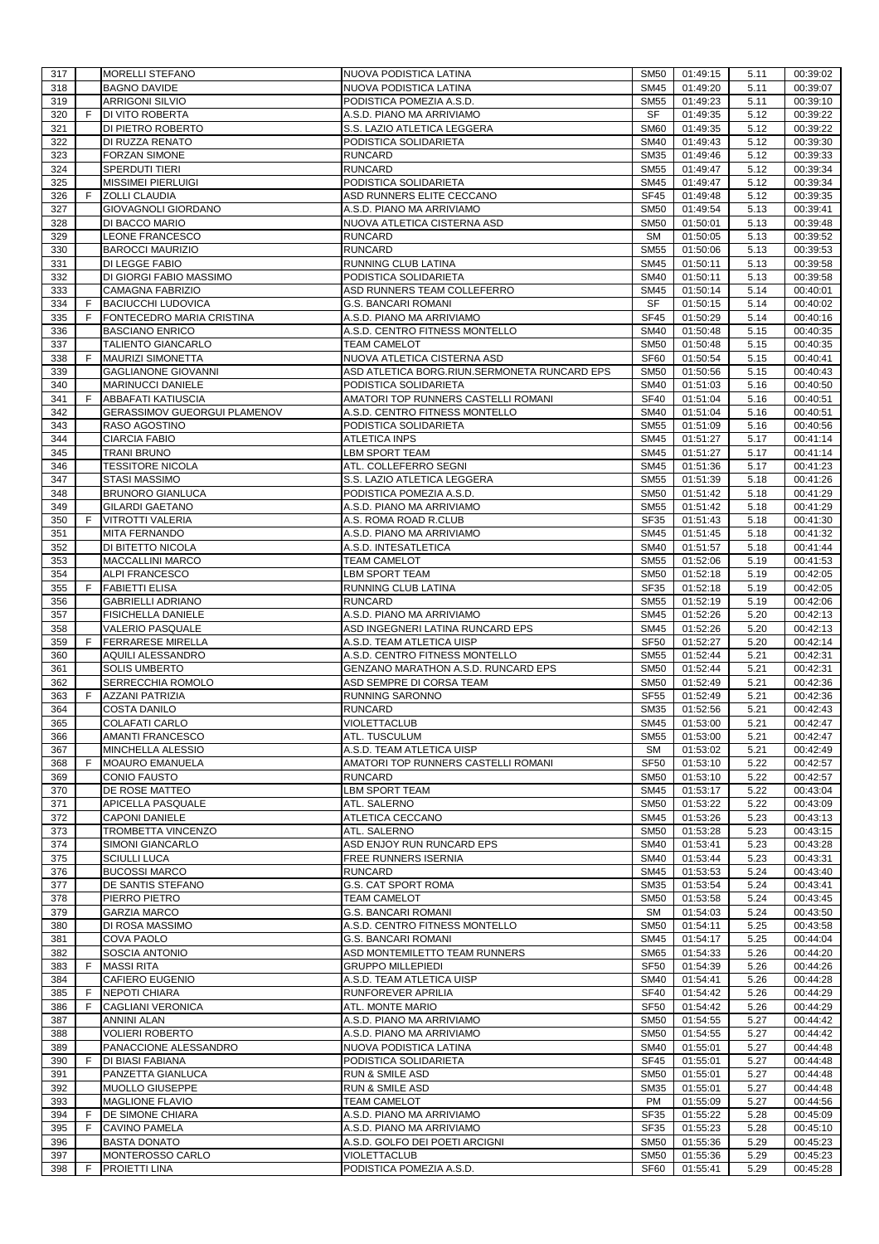| 317        |    | <b>MORELLI STEFANO</b>                                 | NUOVA PODISTICA LATINA                                                      | SM <sub>50</sub>           | 01:49:15             | 5.11         | 00:39:02             |
|------------|----|--------------------------------------------------------|-----------------------------------------------------------------------------|----------------------------|----------------------|--------------|----------------------|
| 318        |    | <b>BAGNO DAVIDE</b>                                    | NUOVA PODISTICA LATINA                                                      | <b>SM45</b>                | 01:49:20             | 5.11         | 00:39:07             |
| 319        |    | <b>ARRIGONI SILVIO</b>                                 | PODISTICA POMEZIA A.S.D.                                                    | <b>SM55</b>                | 01:49:23             | 5.11         | 00:39:10             |
| 320        | F. | <b>DI VITO ROBERTA</b>                                 | A.S.D. PIANO MA ARRIVIAMO                                                   | SF                         | 01:49:35             | 5.12         | 00:39:22             |
| 321<br>322 |    | DI PIETRO ROBERTO<br>DI RUZZA RENATO                   | S.S. LAZIO ATLETICA LEGGERA<br>PODISTICA SOLIDARIETA                        | <b>SM60</b><br><b>SM40</b> | 01:49:35<br>01:49:43 | 5.12<br>5.12 | 00:39:22<br>00:39:30 |
| 323        |    | <b>FORZAN SIMONE</b>                                   | <b>RUNCARD</b>                                                              | <b>SM35</b>                | 01:49:46             | 5.12         | 00:39:33             |
| 324        |    | SPERDUTI TIERI                                         | <b>RUNCARD</b>                                                              | <b>SM55</b>                | 01:49:47             | 5.12         | 00:39:34             |
| 325        |    | <b>MISSIMEI PIERLUIGI</b>                              | PODISTICA SOLIDARIETA                                                       | <b>SM45</b>                | 01:49:47             | 5.12         | 00:39:34             |
| 326        | F  | <b>ZOLLI CLAUDIA</b>                                   | ASD RUNNERS ELITE CECCANO                                                   | <b>SF45</b>                | 01:49:48             | 5.12         | 00:39:35             |
| 327        |    | GIOVAGNOLI GIORDANO                                    | A.S.D. PIANO MA ARRIVIAMO                                                   | <b>SM50</b>                | 01:49:54             | 5.13         | 00:39:41             |
| 328        |    | DI BACCO MARIO                                         | NUOVA ATLETICA CISTERNA ASD                                                 | <b>SM50</b>                | 01:50:01             | 5.13         | 00:39:48             |
| 329        |    | LEONE FRANCESCO                                        | <b>RUNCARD</b>                                                              | <b>SM</b>                  | 01:50:05             | 5.13         | 00:39:52             |
| 330        |    | <b>BAROCCI MAURIZIO</b>                                | <b>RUNCARD</b>                                                              | <b>SM55</b>                | 01:50:06             | 5.13         | 00:39:53             |
| 331        |    | DI LEGGE FABIO                                         | RUNNING CLUB LATINA                                                         | <b>SM45</b>                | 01:50:11             | 5.13         | 00:39:58             |
| 332        |    | DI GIORGI FABIO MASSIMO                                | PODISTICA SOLIDARIETA                                                       | <b>SM40</b>                | 01:50:11             | 5.13         | 00:39:58             |
| 333        |    | <b>CAMAGNA FABRIZIO</b>                                | ASD RUNNERS TEAM COLLEFERRO                                                 | <b>SM45</b>                | 01:50:14             | 5.14         | 00:40:01             |
| 334        | F  | <b>BACIUCCHI LUDOVICA</b>                              | <b>G.S. BANCARI ROMANI</b>                                                  | SF                         | 01:50:15             | 5.14         | 00:40:02             |
| 335        | F  | FONTECEDRO MARIA CRISTINA                              | A.S.D. PIANO MA ARRIVIAMO                                                   | <b>SF45</b>                | 01:50:29             | 5.14         | 00:40:16             |
| 336        |    | <b>BASCIANO ENRICO</b>                                 | A.S.D. CENTRO FITNESS MONTELLO                                              | <b>SM40</b>                | 01:50:48             | 5.15         | 00:40:35             |
| 337        | F  | TALIENTO GIANCARLO                                     | <b>TEAM CAMELOT</b>                                                         | <b>SM50</b>                | 01:50:48             | 5.15         | 00:40:35             |
| 338<br>339 |    | <b>MAURIZI SIMONETTA</b><br><b>GAGLIANONE GIOVANNI</b> | NUOVA ATLETICA CISTERNA ASD<br>ASD ATLETICA BORG.RIUN.SERMONETA RUNCARD EPS | <b>SF60</b><br><b>SM50</b> | 01:50:54<br>01:50:56 | 5.15<br>5.15 | 00:40:41<br>00:40:43 |
| 340        |    | <b>MARINUCCI DANIELE</b>                               | PODISTICA SOLIDARIETA                                                       | <b>SM40</b>                | 01:51:03             | 5.16         | 00:40:50             |
| 341        | F  | <b>ABBAFATI KATIUSCIA</b>                              | AMATORI TOP RUNNERS CASTELLI ROMANI                                         | <b>SF40</b>                | 01:51:04             | 5.16         | 00:40:51             |
| 342        |    | <b>GERASSIMOV GUEORGUI PLAMENOV</b>                    | A.S.D. CENTRO FITNESS MONTELLO                                              | <b>SM40</b>                | 01:51:04             | 5.16         | 00:40:51             |
| 343        |    | RASO AGOSTINO                                          | PODISTICA SOLIDARIETA                                                       | <b>SM55</b>                | 01:51:09             | 5.16         | 00:40:56             |
| 344        |    | <b>CIARCIA FABIO</b>                                   | <b>ATLETICA INPS</b>                                                        | <b>SM45</b>                | 01:51:27             | 5.17         | 00:41:14             |
| 345        |    | TRANI BRUNO                                            | <b>LBM SPORT TEAM</b>                                                       | SM45                       | 01:51:27             | 5.17         | 00:41:14             |
| 346        |    | <b>TESSITORE NICOLA</b>                                | ATL. COLLEFERRO SEGNI                                                       | SM45                       | 01:51:36             | 5.17         | 00:41:23             |
| 347        |    | STASI MASSIMO                                          | S.S. LAZIO ATLETICA LEGGERA                                                 | <b>SM55</b>                | 01:51:39             | 5.18         | 00:41:26             |
| 348        |    | <b>BRUNORO GIANLUCA</b>                                | PODISTICA POMEZIA A.S.D.                                                    | <b>SM50</b>                | 01:51:42             | 5.18         | 00:41:29             |
| 349        |    | <b>GILARDI GAETANO</b>                                 | A.S.D. PIANO MA ARRIVIAMO                                                   | <b>SM55</b>                | 01:51:42             | 5.18         | 00:41:29             |
| 350        | F. | <b>VITROTTI VALERIA</b>                                | A.S. ROMA ROAD R.CLUB                                                       | <b>SF35</b>                | 01:51:43             | 5.18         | 00:41:30             |
| 351        |    | <b>MITA FERNANDO</b>                                   | A.S.D. PIANO MA ARRIVIAMO                                                   | <b>SM45</b>                | 01:51:45             | 5.18         | 00:41:32             |
| 352        |    | DI BITETTO NICOLA                                      | A.S.D. INTESATLETICA                                                        | <b>SM40</b>                | 01:51:57             | 5.18         | 00:41:44             |
| 353        |    | <b>MACCALLINI MARCO</b>                                | <b>TEAM CAMELOT</b>                                                         | <b>SM55</b>                | 01:52:06             | 5.19         | 00:41:53             |
| 354        |    | <b>ALPI FRANCESCO</b>                                  | LBM SPORT TEAM                                                              | <b>SM50</b>                | 01:52:18             | 5.19         | 00:42:05             |
| 355        | F  | <b>FABIETTI ELISA</b>                                  | RUNNING CLUB LATINA                                                         | <b>SF35</b>                | 01:52:18             | 5.19         | 00:42:05             |
| 356        |    | <b>GABRIELLI ADRIANO</b>                               | <b>RUNCARD</b>                                                              | <b>SM55</b>                | 01:52:19             | 5.19         | 00:42:06             |
| 357<br>358 |    | <b>FISICHELLA DANIELE</b><br><b>VALERIO PASQUALE</b>   | A.S.D. PIANO MA ARRIVIAMO<br>ASD INGEGNERI LATINA RUNCARD EPS               | <b>SM45</b><br><b>SM45</b> | 01:52:26<br>01:52:26 | 5.20<br>5.20 | 00:42:13<br>00:42:13 |
| 359        | F  | <b>FERRARESE MIRELLA</b>                               | A.S.D. TEAM ATLETICA UISP                                                   | <b>SF50</b>                | 01:52:27             | 5.20         | 00:42:14             |
| 360        |    | AQUILI ALESSANDRO                                      | A.S.D. CENTRO FITNESS MONTELLO                                              | <b>SM55</b>                | 01:52:44             | 5.21         | 00:42:31             |
| 361        |    | <b>SOLIS UMBERTO</b>                                   | GENZANO MARATHON A.S.D. RUNCARD EPS                                         | <b>SM50</b>                | 01:52:44             | 5.21         | 00:42:31             |
| 362        |    | SERRECCHIA ROMOLO                                      | ASD SEMPRE DI CORSA TEAM                                                    | <b>SM50</b>                | 01:52:49             | 5.21         | 00:42:36             |
| 363        | F  | <b>AZZANI PATRIZIA</b>                                 | <b>RUNNING SARONNO</b>                                                      | <b>SF55</b>                | 01:52:49             | 5.21         | 00:42:36             |
| 364        |    | <b>COSTA DANILO</b>                                    | <b>RUNCARD</b>                                                              | <b>SM35</b>                | 01:52:56             | 5.21         | 00:42:43             |
| 365        |    | <b>COLAFATI CARLO</b>                                  | VIOLETTACLUB                                                                | SM45                       | 01:53:00             | 5.21         | 00:42:47             |
| 366        |    | <b>AMANTI FRANCESCO</b>                                | ATL. TUSCULUM                                                               | SM55                       | 01:53:00             | 5.21         | 00:42:47             |
| 367        |    | MINCHELLA ALESSIO                                      | A.S.D. TEAM ATLETICA UISP                                                   | <b>SM</b>                  | 01:53:02             | 5.21         | 00:42:49             |
| 368        | F. | <b>MOAURO EMANUELA</b>                                 | AMATORI TOP RUNNERS CASTELLI ROMANI                                         | <b>SF50</b>                | 01:53:10             | 5.22         | 00:42:57             |
| 369        |    | <b>CONIO FAUSTO</b>                                    | <b>RUNCARD</b>                                                              | <b>SM50</b>                | 01:53:10             | 5.22         | 00:42:57             |
| 370        |    | DE ROSE MATTEO                                         | <b>LBM SPORT TEAM</b>                                                       | <b>SM45</b>                | 01:53:17             | 5.22         | 00:43:04             |
| 371        |    | APICELLA PASQUALE                                      | ATL. SALERNO                                                                | <b>SM50</b>                | 01:53:22             | 5.22         | 00:43:09             |
| 372        |    | <b>CAPONI DANIELE</b>                                  | ATLETICA CECCANO                                                            | <b>SM45</b>                | 01:53:26             | 5.23         | 00:43:13             |
| 373<br>374 |    | TROMBETTA VINCENZO<br>SIMONI GIANCARLO                 | ATL. SALERNO<br>ASD ENJOY RUN RUNCARD EPS                                   | <b>SM50</b><br><b>SM40</b> | 01:53:28<br>01:53:41 | 5.23<br>5.23 | 00:43:15<br>00:43:28 |
| 375        |    | <b>SCIULLI LUCA</b>                                    | FREE RUNNERS ISERNIA                                                        | <b>SM40</b>                | 01:53:44             | 5.23         | 00:43:31             |
| 376        |    | <b>BUCOSSI MARCO</b>                                   | <b>RUNCARD</b>                                                              | SM45                       | 01:53:53             | 5.24         | 00:43:40             |
| 377        |    | DE SANTIS STEFANO                                      | <b>G.S. CAT SPORT ROMA</b>                                                  | <b>SM35</b>                | 01:53:54             | 5.24         | 00:43:41             |
| 378        |    | PIERRO PIETRO                                          | <b>TEAM CAMELOT</b>                                                         | <b>SM50</b>                | 01:53:58             | 5.24         | 00:43:45             |
| 379        |    | <b>GARZIA MARCO</b>                                    | <b>G.S. BANCARI ROMANI</b>                                                  | <b>SM</b>                  | 01:54:03             | 5.24         | 00:43:50             |
| 380        |    | DI ROSA MASSIMO                                        | A.S.D. CENTRO FITNESS MONTELLO                                              | <b>SM50</b>                | 01:54:11             | 5.25         | 00:43:58             |
| 381        |    | <b>COVA PAOLO</b>                                      | <b>G.S. BANCARI ROMANI</b>                                                  | <b>SM45</b>                | 01:54:17             | 5.25         | 00:44:04             |
| 382        |    | SOSCIA ANTONIO                                         | ASD MONTEMILETTO TEAM RUNNERS                                               | <b>SM65</b>                | 01:54:33             | 5.26         | 00:44:20             |
| 383        | F  | <b>MASSI RITA</b>                                      | <b>GRUPPO MILLEPIEDI</b>                                                    | <b>SF50</b>                | 01:54:39             | 5.26         | 00:44:26             |
| 384        |    | CAFIERO EUGENIO                                        | A.S.D. TEAM ATLETICA UISP                                                   | <b>SM40</b>                | 01:54:41             | 5.26         | 00:44:28             |
| 385        | F  | <b>NEPOTI CHIARA</b>                                   | RUNFOREVER APRILIA                                                          | <b>SF40</b>                | 01:54:42             | 5.26         | 00:44:29             |
| 386        | F  | <b>CAGLIANI VERONICA</b>                               | ATL. MONTE MARIO                                                            | SF <sub>50</sub>           | 01:54:42             | 5.26         | 00:44:29             |
| 387        |    | <b>ANNINI ALAN</b>                                     | A.S.D. PIANO MA ARRIVIAMO                                                   | <b>SM50</b>                | 01:54:55             | 5.27         | 00:44:42             |
| 388<br>389 |    | <b>VOLIERI ROBERTO</b>                                 | A.S.D. PIANO MA ARRIVIAMO                                                   | <b>SM50</b>                | 01:54:55             | 5.27         | 00:44:42<br>00:44:48 |
| 390        | F  | PANACCIONE ALESSANDRO<br><b>DI BIASI FABIANA</b>       | NUOVA PODISTICA LATINA<br>PODISTICA SOLIDARIETA                             | <b>SM40</b><br><b>SF45</b> | 01:55:01<br>01:55:01 | 5.27<br>5.27 | 00:44:48             |
| 391        |    | PANZETTA GIANLUCA                                      | <b>RUN &amp; SMILE ASD</b>                                                  | <b>SM50</b>                | 01:55:01             | 5.27         | 00:44:48             |
| 392        |    | <b>MUOLLO GIUSEPPE</b>                                 | <b>RUN &amp; SMILE ASD</b>                                                  | <b>SM35</b>                | 01:55:01             | 5.27         | 00:44:48             |
| 393        |    | <b>MAGLIONE FLAVIO</b>                                 | <b>TEAM CAMELOT</b>                                                         | PM                         | 01:55:09             | 5.27         | 00:44:56             |
| 394        | F  | <b>DE SIMONE CHIARA</b>                                | A.S.D. PIANO MA ARRIVIAMO                                                   | <b>SF35</b>                | 01:55:22             | 5.28         | 00:45:09             |
| 395        | F  | <b>CAVINO PAMELA</b>                                   | A.S.D. PIANO MA ARRIVIAMO                                                   | <b>SF35</b>                | 01:55:23             | 5.28         | 00:45:10             |
| 396        |    | <b>BASTA DONATO</b>                                    | A.S.D. GOLFO DEI POETI ARCIGNI                                              | <b>SM50</b>                | 01:55:36             | 5.29         | 00:45:23             |
| 397        |    | MONTEROSSO CARLO                                       | VIOLETTACLUB                                                                | <b>SM50</b>                | 01:55:36             | 5.29         | 00:45:23             |
| 398        | F  | PROIETTI LINA                                          | PODISTICA POMEZIA A.S.D.                                                    | <b>SF60</b>                | 01:55:41             | 5.29         | 00:45:28             |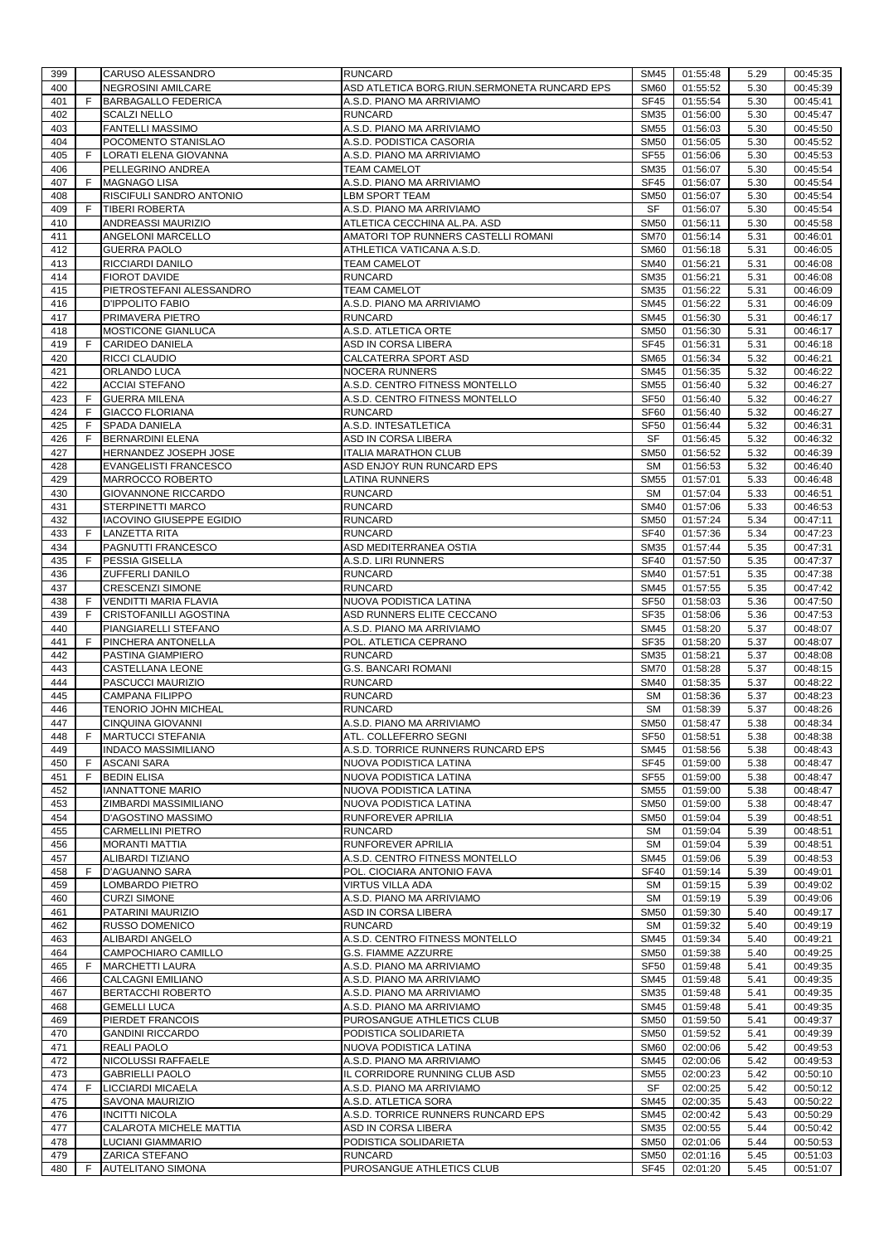| 399 |    | CARUSO ALESSANDRO               | <b>RUNCARD</b>                               | <b>SM45</b>      | 01:55:48 | 5.29 | 00:45:35 |
|-----|----|---------------------------------|----------------------------------------------|------------------|----------|------|----------|
| 400 |    | <b>NEGROSINI AMILCARE</b>       | ASD ATLETICA BORG.RIUN.SERMONETA RUNCARD EPS | <b>SM60</b>      | 01:55:52 | 5.30 | 00:45:39 |
| 401 | F. | <b>BARBAGALLO FEDERICA</b>      | A.S.D. PIANO MA ARRIVIAMO                    | <b>SF45</b>      | 01:55:54 | 5.30 | 00:45:41 |
| 402 |    | <b>SCALZI NELLO</b>             | <b>RUNCARD</b>                               | <b>SM35</b>      | 01:56:00 | 5.30 | 00:45:47 |
| 403 |    | <b>FANTELLI MASSIMO</b>         | A.S.D. PIANO MA ARRIVIAMO                    | <b>SM55</b>      | 01:56:03 | 5.30 | 00:45:50 |
| 404 |    | POCOMENTO STANISLAO             | A.S.D. PODISTICA CASORIA                     | <b>SM50</b>      | 01:56:05 | 5.30 | 00:45:52 |
| 405 | F  | LORATI ELENA GIOVANNA           | A.S.D. PIANO MA ARRIVIAMO                    | <b>SF55</b>      | 01:56:06 | 5.30 | 00:45:53 |
| 406 |    | PELLEGRINO ANDREA               | <b>TEAM CAMELOT</b>                          | <b>SM35</b>      | 01:56:07 | 5.30 | 00:45:54 |
|     |    |                                 |                                              |                  |          |      |          |
| 407 | F  | <b>MAGNAGO LISA</b>             | A.S.D. PIANO MA ARRIVIAMO                    | <b>SF45</b>      | 01:56:07 | 5.30 | 00:45:54 |
| 408 |    | RISCIFULI SANDRO ANTONIO        | <b>LBM SPORT TEAM</b>                        | <b>SM50</b>      | 01:56:07 | 5.30 | 00:45:54 |
| 409 | F  | <b>TIBERI ROBERTA</b>           | A.S.D. PIANO MA ARRIVIAMO                    | SF               | 01:56:07 | 5.30 | 00:45:54 |
| 410 |    | ANDREASSI MAURIZIO              | ATLETICA CECCHINA AL.PA. ASD                 | <b>SM50</b>      | 01:56:11 | 5.30 | 00:45:58 |
| 411 |    | ANGELONI MARCELLO               | AMATORI TOP RUNNERS CASTELLI ROMANI          | <b>SM70</b>      | 01:56:14 | 5.31 | 00:46:01 |
| 412 |    | <b>GUERRA PAOLO</b>             | ATHLETICA VATICANA A.S.D.                    | <b>SM60</b>      | 01:56:18 | 5.31 | 00:46:05 |
| 413 |    | RICCIARDI DANILO                | <b>TEAM CAMELOT</b>                          | <b>SM40</b>      | 01:56:21 | 5.31 | 00:46:08 |
| 414 |    | <b>FIOROT DAVIDE</b>            | <b>RUNCARD</b>                               | <b>SM35</b>      | 01:56:21 | 5.31 | 00:46:08 |
| 415 |    | PIETROSTEFANI ALESSANDRO        | <b>TEAM CAMELOT</b>                          | <b>SM35</b>      | 01:56:22 | 5.31 | 00:46:09 |
| 416 |    | D'IPPOLITO FABIO                | A.S.D. PIANO MA ARRIVIAMO                    | SM45             | 01:56:22 | 5.31 | 00:46:09 |
| 417 |    | PRIMAVERA PIETRO                | <b>RUNCARD</b>                               | <b>SM45</b>      | 01:56:30 | 5.31 | 00:46:17 |
| 418 |    | MOSTICONE GIANLUCA              | A.S.D. ATLETICA ORTE                         | <b>SM50</b>      | 01:56:30 | 5.31 | 00:46:17 |
|     |    |                                 |                                              |                  |          |      |          |
| 419 | F  | <b>CARIDEO DANIELA</b>          | ASD IN CORSA LIBERA                          | <b>SF45</b>      | 01:56:31 | 5.31 | 00:46:18 |
| 420 |    | <b>RICCI CLAUDIO</b>            | CALCATERRA SPORT ASD                         | <b>SM65</b>      | 01:56:34 | 5.32 | 00:46:21 |
| 421 |    | ORLANDO LUCA                    | <b>NOCERA RUNNERS</b>                        | <b>SM45</b>      | 01:56:35 | 5.32 | 00:46:22 |
| 422 |    | <b>ACCIAI STEFANO</b>           | A.S.D. CENTRO FITNESS MONTELLO               | <b>SM55</b>      | 01:56:40 | 5.32 | 00:46:27 |
| 423 | F  | <b>GUERRA MILENA</b>            | A.S.D. CENTRO FITNESS MONTELLO               | <b>SF50</b>      | 01:56:40 | 5.32 | 00:46:27 |
| 424 | F  | <b>GIACCO FLORIANA</b>          | <b>RUNCARD</b>                               | SF <sub>60</sub> | 01:56:40 | 5.32 | 00:46:27 |
| 425 | F  | <b>SPADA DANIELA</b>            | A.S.D. INTESATLETICA                         | <b>SF50</b>      | 01:56:44 | 5.32 | 00:46:31 |
| 426 | F  | <b>BERNARDINI ELENA</b>         | ASD IN CORSA LIBERA                          | SF               | 01:56:45 | 5.32 | 00:46:32 |
| 427 |    | HERNANDEZ JOSEPH JOSE           | <b>ITALIA MARATHON CLUB</b>                  | <b>SM50</b>      | 01:56:52 | 5.32 | 00:46:39 |
| 428 |    | <b>EVANGELISTI FRANCESCO</b>    | ASD ENJOY RUN RUNCARD EPS                    | <b>SM</b>        | 01:56:53 | 5.32 | 00:46:40 |
| 429 |    | MARROCCO ROBERTO                | <b>LATINA RUNNERS</b>                        | <b>SM55</b>      | 01:57:01 | 5.33 | 00:46:48 |
| 430 |    | <b>GIOVANNONE RICCARDO</b>      | <b>RUNCARD</b>                               | <b>SM</b>        | 01:57:04 | 5.33 | 00:46:51 |
|     |    |                                 | <b>RUNCARD</b>                               |                  |          |      | 00:46:53 |
| 431 |    | STERPINETTI MARCO               |                                              | <b>SM40</b>      | 01:57:06 | 5.33 |          |
| 432 |    | <b>IACOVINO GIUSEPPE EGIDIO</b> | <b>RUNCARD</b>                               | <b>SM50</b>      | 01:57:24 | 5.34 | 00:47:11 |
| 433 | F  | <b>LANZETTA RITA</b>            | <b>RUNCARD</b>                               | <b>SF40</b>      | 01:57:36 | 5.34 | 00:47:23 |
| 434 |    | PAGNUTTI FRANCESCO              | ASD MEDITERRANEA OSTIA                       | <b>SM35</b>      | 01:57:44 | 5.35 | 00:47:31 |
| 435 | F  | <b>PESSIA GISELLA</b>           | A.S.D. LIRI RUNNERS                          | <b>SF40</b>      | 01:57:50 | 5.35 | 00:47:37 |
| 436 |    | ZUFFERLI DANILO                 | <b>RUNCARD</b>                               | <b>SM40</b>      | 01:57:51 | 5.35 | 00:47:38 |
| 437 |    | <b>CRESCENZI SIMONE</b>         | <b>RUNCARD</b>                               | <b>SM45</b>      | 01:57:55 | 5.35 | 00:47:42 |
| 438 | F  | <b>VENDITTI MARIA FLAVIA</b>    | NUOVA PODISTICA LATINA                       | <b>SF50</b>      | 01:58:03 | 5.36 | 00:47:50 |
| 439 | F  | CRISTOFANILLI AGOSTINA          | ASD RUNNERS ELITE CECCANO                    | <b>SF35</b>      | 01:58:06 | 5.36 | 00:47:53 |
| 440 |    | PIANGIARELLI STEFANO            | A.S.D. PIANO MA ARRIVIAMO                    | <b>SM45</b>      | 01:58:20 | 5.37 | 00:48:07 |
| 441 | F  | <b>PINCHERA ANTONELLA</b>       | POL. ATLETICA CEPRANO                        | <b>SF35</b>      | 01:58:20 | 5.37 | 00:48:07 |
| 442 |    | PASTINA GIAMPIERO               | <b>RUNCARD</b>                               | <b>SM35</b>      | 01:58:21 | 5.37 | 00:48:08 |
| 443 |    | CASTELLANA LEONE                | <b>G.S. BANCARI ROMANI</b>                   | <b>SM70</b>      | 01:58:28 | 5.37 | 00:48:15 |
| 444 |    | PASCUCCI MAURIZIO               | <b>RUNCARD</b>                               | <b>SM40</b>      | 01:58:35 | 5.37 | 00:48:22 |
|     |    |                                 |                                              |                  |          |      |          |
| 445 |    | <b>CAMPANA FILIPPO</b>          | <b>RUNCARD</b>                               | <b>SM</b>        | 01:58:36 | 5.37 | 00:48:23 |
| 446 |    | TENORIO JOHN MICHEAL            | <b>RUNCARD</b>                               | <b>SM</b>        | 01:58:39 | 5.37 | 00:48:26 |
| 447 |    | <b>CINQUINA GIOVANNI</b>        | A.S.D. PIANO MA ARRIVIAMO                    | <b>SM50</b>      | 01:58:47 | 5.38 | 00:48:34 |
| 448 | F  | <b>MARTUCCI STEFANIA</b>        | ATL. COLLEFERRO SEGNI                        | SF <sub>50</sub> | 01:58:51 | 5.38 | 00:48:38 |
| 449 |    | <b>INDACO MASSIMILIANO</b>      | A.S.D. TORRICE RUNNERS RUNCARD EPS           | <b>SM45</b>      | 01:58:56 | 5.38 | 00:48:43 |
| 450 | F. | <b>ASCANI SARA</b>              | NUOVA PODISTICA LATINA                       | <b>SF45</b>      | 01:59:00 | 5.38 | 00:48:47 |
| 451 | F  | <b>BEDIN ELISA</b>              | NUOVA PODISTICA LATINA                       | <b>SF55</b>      | 01:59:00 | 5.38 | 00:48:47 |
| 452 |    | <b>IANNATTONE MARIO</b>         | NUOVA PODISTICA LATINA                       | <b>SM55</b>      | 01:59:00 | 5.38 | 00:48:47 |
| 453 |    | ZIMBARDI MASSIMILIANO           | NUOVA PODISTICA LATINA                       | <b>SM50</b>      | 01:59:00 | 5.38 | 00:48:47 |
| 454 |    | D'AGOSTINO MASSIMO              | RUNFOREVER APRILIA                           | <b>SM50</b>      | 01:59:04 | 5.39 | 00:48:51 |
| 455 |    | <b>CARMELLINI PIETRO</b>        | <b>RUNCARD</b>                               | <b>SM</b>        | 01:59:04 | 5.39 | 00:48:51 |
| 456 |    | <b>MORANTI MATTIA</b>           | RUNFOREVER APRILIA                           | <b>SM</b>        | 01:59:04 | 5.39 | 00:48:51 |
| 457 |    | ALIBARDI TIZIANO                | A.S.D. CENTRO FITNESS MONTELLO               | SM45             | 01:59:06 | 5.39 | 00:48:53 |
| 458 | F  | <b>D'AGUANNO SARA</b>           | POL. CIOCIARA ANTONIO FAVA                   | <b>SF40</b>      | 01:59:14 | 5.39 | 00:49:01 |
| 459 |    | LOMBARDO PIETRO                 | <b>VIRTUS VILLA ADA</b>                      | <b>SM</b>        | 01:59:15 | 5.39 | 00:49:02 |
| 460 |    | <b>CURZI SIMONE</b>             | A.S.D. PIANO MA ARRIVIAMO                    | <b>SM</b>        | 01:59:19 | 5.39 | 00:49:06 |
| 461 |    | PATARINI MAURIZIO               | ASD IN CORSA LIBERA                          | <b>SM50</b>      | 01:59:30 | 5.40 | 00:49:17 |
| 462 |    | <b>RUSSO DOMENICO</b>           | <b>RUNCARD</b>                               | <b>SM</b>        | 01:59:32 | 5.40 | 00:49:19 |
|     |    |                                 |                                              |                  |          |      |          |
| 463 |    | ALIBARDI ANGELO                 | A.S.D. CENTRO FITNESS MONTELLO               | SM45             | 01:59:34 | 5.40 | 00:49:21 |
| 464 |    | CAMPOCHIARO CAMILLO             | G.S. FIAMME AZZURRE                          | <b>SM50</b>      | 01:59:38 | 5.40 | 00:49:25 |
| 465 | F  | <b>MARCHETTI LAURA</b>          | A.S.D. PIANO MA ARRIVIAMO                    | <b>SF50</b>      | 01:59:48 | 5.41 | 00:49:35 |
| 466 |    | <b>CALCAGNI EMILIANO</b>        | A.S.D. PIANO MA ARRIVIAMO                    | <b>SM45</b>      | 01:59:48 | 5.41 | 00:49:35 |
| 467 |    | <b>BERTACCHI ROBERTO</b>        | A.S.D. PIANO MA ARRIVIAMO                    | <b>SM35</b>      | 01:59:48 | 5.41 | 00:49:35 |
| 468 |    | <b>GEMELLI LUCA</b>             | A.S.D. PIANO MA ARRIVIAMO                    | <b>SM45</b>      | 01:59:48 | 5.41 | 00:49:35 |
| 469 |    | PIERDET FRANCOIS                | PUROSANGUE ATHLETICS CLUB                    | <b>SM50</b>      | 01:59:50 | 5.41 | 00:49:37 |
| 470 |    | <b>GANDINI RICCARDO</b>         | PODISTICA SOLIDARIETA                        | <b>SM50</b>      | 01:59:52 | 5.41 | 00:49:39 |
| 471 |    | <b>REALI PAOLO</b>              | NUOVA PODISTICA LATINA                       | <b>SM60</b>      | 02:00:06 | 5.42 | 00:49:53 |
| 472 |    | NICOLUSSI RAFFAELE              | A.S.D. PIANO MA ARRIVIAMO                    | <b>SM45</b>      | 02:00:06 | 5.42 | 00:49:53 |
| 473 |    | <b>GABRIELLI PAOLO</b>          | IL CORRIDORE RUNNING CLUB ASD                | <b>SM55</b>      | 02:00:23 | 5.42 | 00:50:10 |
| 474 | F  | <b>LICCIARDI MICAELA</b>        | A.S.D. PIANO MA ARRIVIAMO                    | SF               | 02:00:25 | 5.42 | 00:50:12 |
| 475 |    | SAVONA MAURIZIO                 | A.S.D. ATLETICA SORA                         | <b>SM45</b>      | 02:00:35 | 5.43 | 00:50:22 |
| 476 |    | <b>INCITTI NICOLA</b>           | A.S.D. TORRICE RUNNERS RUNCARD EPS           | SM45             | 02:00:42 | 5.43 | 00:50:29 |
| 477 |    | CALAROTA MICHELE MATTIA         | ASD IN CORSA LIBERA                          | <b>SM35</b>      | 02:00:55 | 5.44 | 00:50:42 |
| 478 |    | LUCIANI GIAMMARIO               | PODISTICA SOLIDARIETA                        | <b>SM50</b>      | 02:01:06 | 5.44 | 00:50:53 |
| 479 |    | <b>ZARICA STEFANO</b>           | <b>RUNCARD</b>                               | <b>SM50</b>      | 02:01:16 | 5.45 | 00:51:03 |
|     |    |                                 |                                              |                  |          |      |          |
| 480 | F  | <b>AUTELITANO SIMONA</b>        | PUROSANGUE ATHLETICS CLUB                    | <b>SF45</b>      | 02:01:20 | 5.45 | 00:51:07 |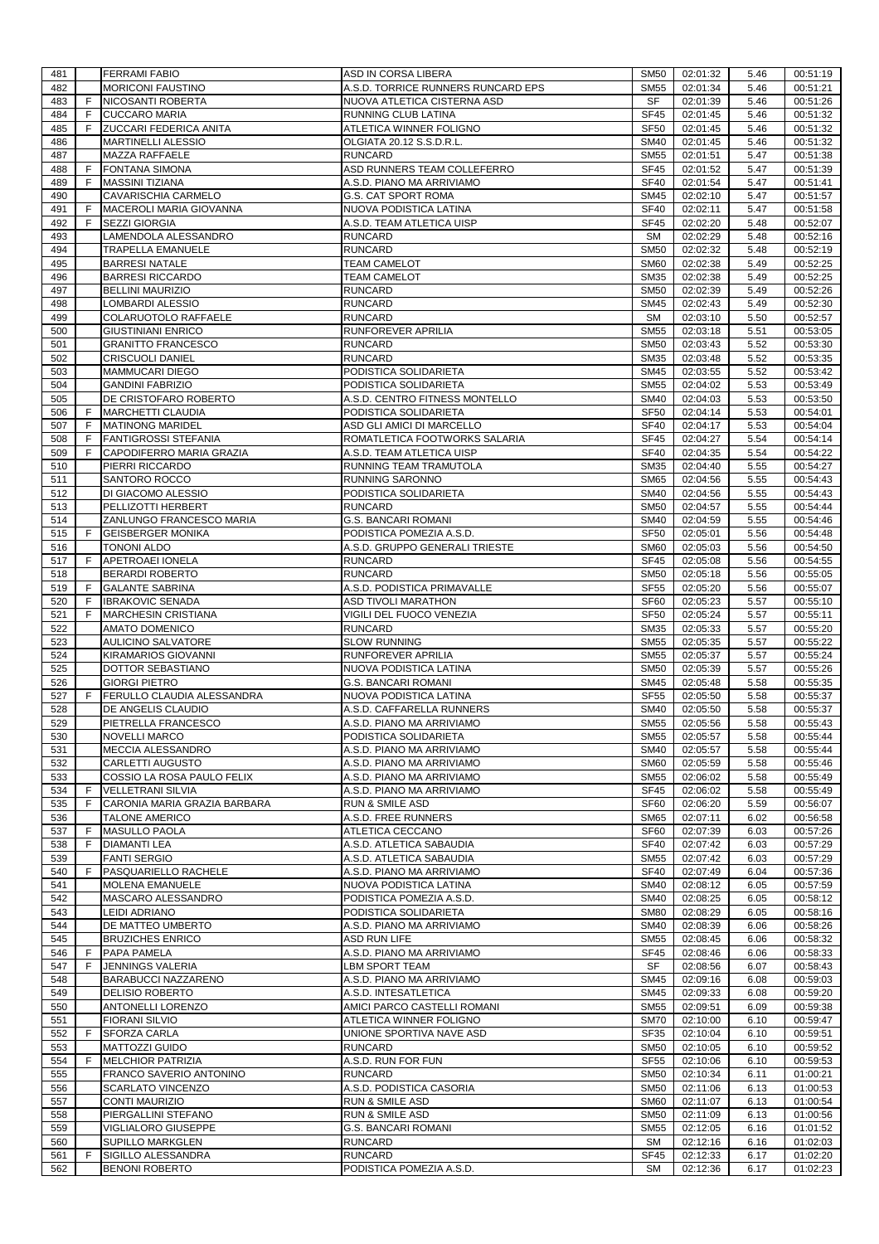| 481        |          | <b>FERRAMI FABIO</b>                        | ASD IN CORSA LIBERA                                    | SM50                       | 02:01:32             | 5.46         | 00:51:19             |
|------------|----------|---------------------------------------------|--------------------------------------------------------|----------------------------|----------------------|--------------|----------------------|
| 482        |          | <b>MORICONI FAUSTINO</b>                    | A.S.D. TORRICE RUNNERS RUNCARD EPS                     | <b>SM55</b>                | 02:01:34             | 5.46         | 00:51:21             |
| 483        | F        | NICOSANTI ROBERTA<br><b>CUCCARO MARIA</b>   | NUOVA ATLETICA CISTERNA ASD                            | <b>SF</b>                  | 02:01:39             | 5.46         | 00:51:26             |
| 484<br>485 | F.<br>F. | <b>ZUCCARI FEDERICA ANITA</b>               | RUNNING CLUB LATINA<br>ATLETICA WINNER FOLIGNO         | <b>SF45</b><br><b>SF50</b> | 02:01:45<br>02:01:45 | 5.46<br>5.46 | 00:51:32<br>00:51:32 |
| 486        |          | <b>MARTINELLI ALESSIO</b>                   | OLGIATA 20.12 S.S.D.R.L.                               | <b>SM40</b>                | 02:01:45             | 5.46         | 00:51:32             |
| 487        |          | <b>MAZZA RAFFAELE</b>                       | <b>RUNCARD</b>                                         | <b>SM55</b>                | 02:01:51             | 5.47         | 00:51:38             |
| 488        | F        | <b>FONTANA SIMONA</b>                       | ASD RUNNERS TEAM COLLEFERRO                            | <b>SF45</b>                | 02:01:52             | 5.47         | 00:51:39             |
| 489        | F        | <b>MASSINI TIZIANA</b>                      | A.S.D. PIANO MA ARRIVIAMO                              | <b>SF40</b>                | 02:01:54             | 5.47         | 00:51:41             |
| 490        |          | CAVARISCHIA CARMELO                         | <b>G.S. CAT SPORT ROMA</b>                             | SM45                       | 02:02:10             | 5.47         | 00:51:57             |
| 491        | F        | MACEROLI MARIA GIOVANNA                     | NUOVA PODISTICA LATINA                                 | <b>SF40</b>                | 02:02:11             | 5.47         | 00:51:58             |
| 492        | F.       | <b>SEZZI GIORGIA</b>                        | A.S.D. TEAM ATLETICA UISP                              | <b>SF45</b>                | 02:02:20             | 5.48         | 00:52:07             |
| 493        |          | LAMENDOLA ALESSANDRO                        | <b>RUNCARD</b>                                         | SM                         | 02:02:29             | 5.48         | 00:52:16             |
| 494        |          | TRAPELLA EMANUELE                           | <b>RUNCARD</b>                                         | <b>SM50</b>                | 02:02:32             | 5.48         | 00:52:19             |
| 495        |          | <b>BARRESI NATALE</b>                       | <b>TEAM CAMELOT</b>                                    | <b>SM60</b>                | 02:02:38             | 5.49         | 00:52:25             |
| 496        |          | <b>BARRESI RICCARDO</b>                     | <b>TEAM CAMELOT</b>                                    | <b>SM35</b>                | 02:02:38             | 5.49         | 00:52:25             |
| 497<br>498 |          | <b>BELLINI MAURIZIO</b>                     | <b>RUNCARD</b><br><b>RUNCARD</b>                       | <b>SM50</b><br><b>SM45</b> | 02:02:39<br>02:02:43 | 5.49<br>5.49 | 00:52:26<br>00:52:30 |
| 499        |          | LOMBARDI ALESSIO<br>COLARUOTOLO RAFFAELE    | <b>RUNCARD</b>                                         | <b>SM</b>                  | 02:03:10             | 5.50         | 00:52:57             |
| 500        |          | <b>GIUSTINIANI ENRICO</b>                   | RUNFOREVER APRILIA                                     | <b>SM55</b>                | 02:03:18             | 5.51         | 00:53:05             |
| 501        |          | <b>GRANITTO FRANCESCO</b>                   | <b>RUNCARD</b>                                         | <b>SM50</b>                | 02:03:43             | 5.52         | 00:53:30             |
| 502        |          | <b>CRISCUOLI DANIEL</b>                     | <b>RUNCARD</b>                                         | <b>SM35</b>                | 02:03:48             | 5.52         | 00:53:35             |
| 503        |          | <b>MAMMUCARI DIEGO</b>                      | PODISTICA SOLIDARIETA                                  | <b>SM45</b>                | 02:03:55             | 5.52         | 00:53:42             |
| 504        |          | <b>GANDINI FABRIZIO</b>                     | PODISTICA SOLIDARIETA                                  | <b>SM55</b>                | 02:04:02             | 5.53         | 00:53:49             |
| 505        |          | DE CRISTOFARO ROBERTO                       | A.S.D. CENTRO FITNESS MONTELLO                         | <b>SM40</b>                | 02:04:03             | 5.53         | 00:53:50             |
| 506        | F        | <b>MARCHETTI CLAUDIA</b>                    | PODISTICA SOLIDARIETA                                  | <b>SF50</b>                | 02:04:14             | 5.53         | 00:54:01             |
| 507        | F.       | <b>MATINONG MARIDEL</b>                     | ASD GLI AMICI DI MARCELLO                              | <b>SF40</b>                | 02:04:17             | 5.53         | 00:54:04             |
| 508        | F        | <b>FANTIGROSSI STEFANIA</b>                 | ROMATLETICA FOOTWORKS SALARIA                          | <b>SF45</b>                | 02:04:27             | 5.54         | 00:54:14             |
| 509        | F        | CAPODIFERRO MARIA GRAZIA                    | A.S.D. TEAM ATLETICA UISP                              | <b>SF40</b>                | 02:04:35             | 5.54         | 00:54:22             |
| 510        |          | PIERRI RICCARDO                             | RUNNING TEAM TRAMUTOLA                                 | <b>SM35</b>                | 02:04:40             | 5.55         | 00:54:27             |
| 511        |          | SANTORO ROCCO<br>DI GIACOMO ALESSIO         | RUNNING SARONNO                                        | <b>SM65</b><br><b>SM40</b> | 02:04:56             | 5.55         | 00:54:43             |
| 512<br>513 |          | PELLIZOTTI HERBERT                          | PODISTICA SOLIDARIETA<br><b>RUNCARD</b>                | <b>SM50</b>                | 02:04:56<br>02:04:57 | 5.55<br>5.55 | 00:54:43<br>00:54:44 |
| 514        |          | ZANLUNGO FRANCESCO MARIA                    | <b>G.S. BANCARI ROMANI</b>                             | <b>SM40</b>                | 02:04:59             | 5.55         | 00:54:46             |
| 515        | F.       | <b>GEISBERGER MONIKA</b>                    | PODISTICA POMEZIA A.S.D.                               | <b>SF50</b>                | 02:05:01             | 5.56         | 00:54:48             |
| 516        |          | <b>TONONI ALDO</b>                          | A.S.D. GRUPPO GENERALI TRIESTE                         | <b>SM60</b>                | 02:05:03             | 5.56         | 00:54:50             |
| 517        | F.       | APETROAEI IONELA                            | <b>RUNCARD</b>                                         | <b>SF45</b>                | 02:05:08             | 5.56         | 00:54:55             |
| 518        |          | <b>BERARDI ROBERTO</b>                      | <b>RUNCARD</b>                                         | <b>SM50</b>                | 02:05:18             | 5.56         | 00:55:05             |
| 519        | F        | <b>GALANTE SABRINA</b>                      | A.S.D. PODISTICA PRIMAVALLE                            | <b>SF55</b>                | 02:05:20             | 5.56         | 00:55:07             |
| 520        | F.       | <b>IBRAKOVIC SENADA</b>                     | ASD TIVOLI MARATHON                                    | SF <sub>60</sub>           | 02:05:23             | 5.57         | 00:55:10             |
| 521        | F.       | MARCHESIN CRISTIANA                         | VIGILI DEL FUOCO VENEZIA                               | <b>SF50</b>                | 02:05:24             | 5.57         | 00:55:11             |
| 522        |          | <b>AMATO DOMENICO</b>                       | <b>RUNCARD</b>                                         | <b>SM35</b>                | 02:05:33             | 5.57         | 00:55:20             |
| 523        |          | AULICINO SALVATORE                          | <b>SLOW RUNNING</b>                                    | <b>SM55</b>                | 02:05:35             | 5.57         | 00:55:22             |
| 524        |          | <b>KIRAMARIOS GIOVANNI</b>                  | RUNFOREVER APRILIA                                     | <b>SM55</b>                | 02:05:37             | 5.57         | 00:55:24             |
| 525<br>526 |          | DOTTOR SEBASTIANO<br><b>GIORGI PIETRO</b>   | NUOVA PODISTICA LATINA<br><b>G.S. BANCARI ROMANI</b>   | <b>SM50</b><br><b>SM45</b> | 02:05:39<br>02:05:48 | 5.57<br>5.58 | 00:55:26<br>00:55:35 |
| 527        | F.       | <b>FERULLO CLAUDIA ALESSANDRA</b>           | NUOVA PODISTICA LATINA                                 | <b>SF55</b>                | 02:05:50             | 5.58         | 00:55:37             |
| 528        |          | DE ANGELIS CLAUDIO                          | A.S.D. CAFFARELLA RUNNERS                              | <b>SM40</b>                | 02:05:50             | 5.58         | 00:55:37             |
| 529        |          | PIETRELLA FRANCESCO                         | A.S.D. PIANO MA ARRIVIAMO                              | <b>SM55</b>                | 02:05:56             | 5.58         | 00:55:43             |
| 530        |          | <b>NOVELLI MARCO</b>                        | PODISTICA SOLIDARIETA                                  | SM55                       | 02:05:57             | 5.58         | 00:55:44             |
| 531        |          | MECCIA ALESSANDRO                           | A.S.D. PIANO MA ARRIVIAMO                              | <b>SM40</b>                | 02:05:57             | 5.58         | 00:55:44             |
| 532        |          | CARLETTI AUGUSTO                            | A.S.D. PIANO MA ARRIVIAMO                              | <b>SM60</b>                | 02:05:59             | 5.58         | 00:55:46             |
| 533        |          | COSSIO LA ROSA PAULO FELIX                  | A.S.D. PIANO MA ARRIVIAMO                              | SM55                       | 02:06:02             | 5.58         | 00:55:49             |
| 534        | F.       | <b>VELLETRANI SILVIA</b>                    | A.S.D. PIANO MA ARRIVIAMO                              | <b>SF45</b>                | 02:06:02             | 5.58         | 00:55:49             |
| 535        | F.       | CARONIA MARIA GRAZIA BARBARA                | <b>RUN &amp; SMILE ASD</b>                             | <b>SF60</b>                | 02:06:20             | 5.59         | 00:56:07             |
| 536        |          | <b>TALONE AMERICO</b>                       | A.S.D. FREE RUNNERS                                    | <b>SM65</b>                | 02:07:11             | 6.02         | 00:56:58             |
| 537<br>538 | F.<br>F. | <b>MASULLO PAOLA</b><br><b>DIAMANTI LEA</b> | ATLETICA CECCANO<br>A.S.D. ATLETICA SABAUDIA           | <b>SF60</b><br><b>SF40</b> | 02:07:39<br>02:07:42 | 6.03<br>6.03 | 00:57:26<br>00:57:29 |
| 539        |          | <b>FANTI SERGIO</b>                         | A.S.D. ATLETICA SABAUDIA                               | <b>SM55</b>                | 02:07:42             | 6.03         | 00:57:29             |
| 540        | F.       | PASQUARIELLO RACHELE                        | A.S.D. PIANO MA ARRIVIAMO                              | <b>SF40</b>                | 02:07:49             | 6.04         | 00:57:36             |
| 541        |          | MOLENA EMANUELE                             | NUOVA PODISTICA LATINA                                 | <b>SM40</b>                | 02:08:12             | 6.05         | 00:57:59             |
| 542        |          | MASCARO ALESSANDRO                          | PODISTICA POMEZIA A.S.D.                               | <b>SM40</b>                | 02:08:25             | 6.05         | 00:58:12             |
| 543        |          | LEIDI ADRIANO                               | PODISTICA SOLIDARIETA                                  | <b>SM80</b>                | 02:08:29             | 6.05         | 00:58:16             |
| 544        |          | DE MATTEO UMBERTO                           | A.S.D. PIANO MA ARRIVIAMO                              | <b>SM40</b>                | 02:08:39             | 6.06         | 00:58:26             |
| 545        |          | <b>BRUZICHES ENRICO</b>                     | <b>ASD RUN LIFE</b>                                    | <b>SM55</b>                | 02:08:45             | 6.06         | 00:58:32             |
| 546        | F.       | PAPA PAMELA                                 | A.S.D. PIANO MA ARRIVIAMO                              | <b>SF45</b>                | 02:08:46             | 6.06         | 00:58:33             |
| 547        | F.       | <b>JENNINGS VALERIA</b>                     | <b>LBM SPORT TEAM</b>                                  | SF                         | 02:08:56             | 6.07         | 00:58:43             |
| 548        |          | BARABUCCI NAZZARENO                         | A.S.D. PIANO MA ARRIVIAMO                              | SM45                       | 02:09:16             | 6.08         | 00:59:03             |
| 549        |          | <b>DELISIO ROBERTO</b>                      | A.S.D. INTESATLETICA                                   | SM45                       | 02:09:33             | 6.08         | 00:59:20             |
| 550<br>551 |          | ANTONELLI LORENZO<br><b>FIORANI SILVIO</b>  | AMICI PARCO CASTELLI ROMANI<br>ATLETICA WINNER FOLIGNO | <b>SM55</b><br><b>SM70</b> | 02:09:51<br>02:10:00 | 6.09<br>6.10 | 00:59:38<br>00:59:47 |
| 552        | F.       | <b>SFORZA CARLA</b>                         | UNIONE SPORTIVA NAVE ASD                               | SF35                       | 02:10:04             | 6.10         | 00:59:51             |
| 553        |          | <b>MATTOZZI GUIDO</b>                       | <b>RUNCARD</b>                                         | <b>SM50</b>                | 02:10:05             | 6.10         | 00:59:52             |
| 554        | F.       | <b>MELCHIOR PATRIZIA</b>                    | A.S.D. RUN FOR FUN                                     | <b>SF55</b>                | 02:10:06             | 6.10         | 00:59:53             |
| 555        |          | FRANCO SAVERIO ANTONINO                     | <b>RUNCARD</b>                                         | <b>SM50</b>                | 02:10:34             | 6.11         | 01:00:21             |
| 556        |          | <b>SCARLATO VINCENZO</b>                    | A.S.D. PODISTICA CASORIA                               | <b>SM50</b>                | 02:11:06             | 6.13         | 01:00:53             |
| 557        |          | <b>CONTI MAURIZIO</b>                       | <b>RUN &amp; SMILE ASD</b>                             | <b>SM60</b>                | 02:11:07             | 6.13         | 01:00:54             |
| 558        |          | PIERGALLINI STEFANO                         | <b>RUN &amp; SMILE ASD</b>                             | <b>SM50</b>                | 02:11:09             | 6.13         | 01:00:56             |
| 559        |          | VIGLIALORO GIUSEPPE                         | <b>G.S. BANCARI ROMANI</b>                             | <b>SM55</b>                | 02:12:05             | 6.16         | 01:01:52             |
| 560        |          | SUPILLO MARKGLEN                            | <b>RUNCARD</b>                                         | <b>SM</b>                  | 02:12:16             | 6.16         | 01:02:03             |
| 561        | F.       | SIGILLO ALESSANDRA                          | <b>RUNCARD</b>                                         | SF45                       | 02:12:33             | 6.17         | 01:02:20             |
| 562        |          | <b>BENONI ROBERTO</b>                       | PODISTICA POMEZIA A.S.D.                               | <b>SM</b>                  | 02:12:36             | 6.17         | 01:02:23             |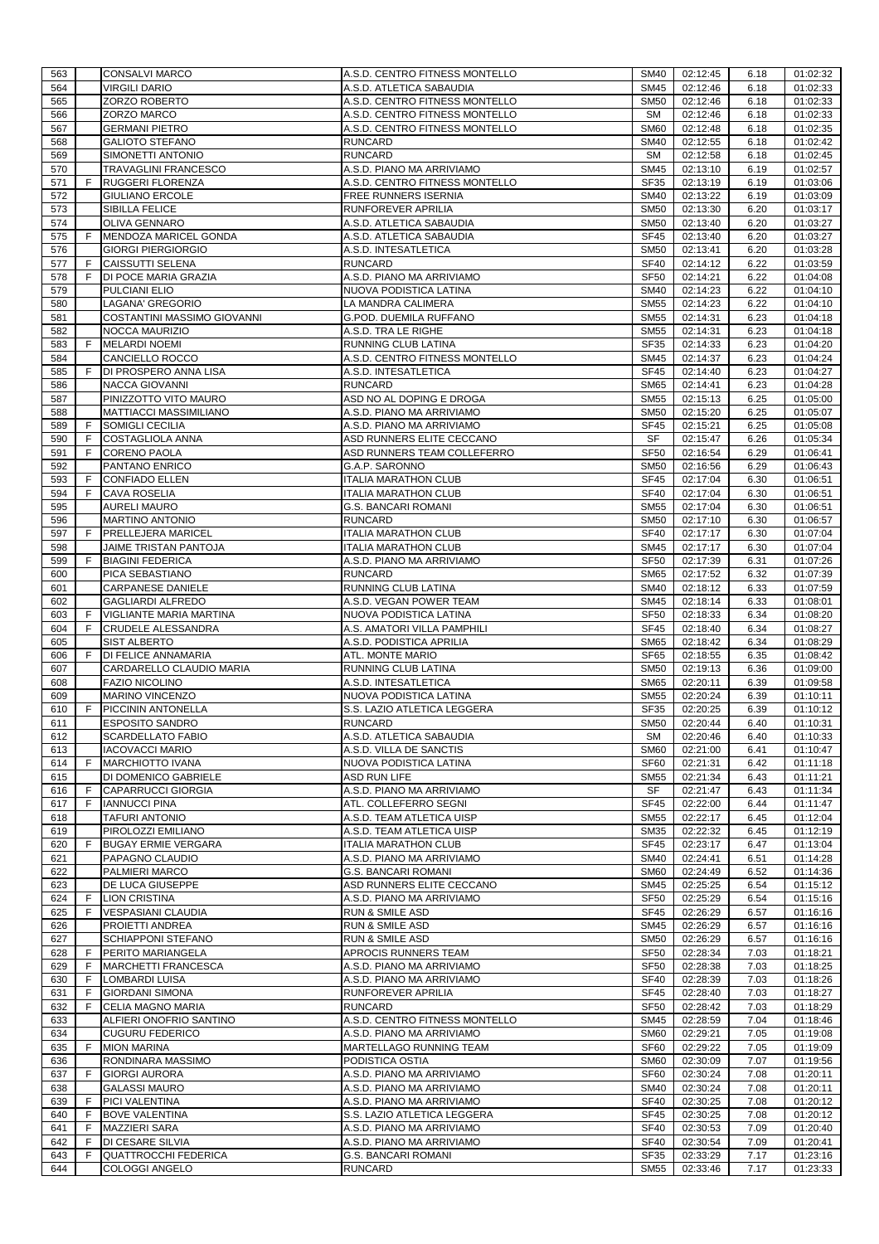| 563        |        | <b>CONSALVI MARCO</b>                             | A.S.D. CENTRO FITNESS MONTELLO                             | <b>SM40</b>                | 02:12:45             | 6.18         | 01:02:32             |
|------------|--------|---------------------------------------------------|------------------------------------------------------------|----------------------------|----------------------|--------------|----------------------|
| 564        |        | <b>VIRGILI DARIO</b>                              | A.S.D. ATLETICA SABAUDIA                                   | <b>SM45</b>                | 02:12:46             | 6.18         | 01:02:33             |
| 565        |        | ZORZO ROBERTO                                     | A.S.D. CENTRO FITNESS MONTELLO                             | <b>SM50</b>                | 02:12:46             | 6.18         | 01:02:33             |
| 566        |        | ZORZO MARCO                                       | A.S.D. CENTRO FITNESS MONTELLO                             | <b>SM</b>                  | 02:12:46             | 6.18         | 01:02:33             |
| 567        |        | <b>GERMANI PIETRO</b>                             | A.S.D. CENTRO FITNESS MONTELLO                             | <b>SM60</b>                | 02:12:48             | 6.18         | 01:02:35             |
| 568        |        | <b>GALIOTO STEFANO</b>                            | <b>RUNCARD</b>                                             | <b>SM40</b>                | 02:12:55             | 6.18         | 01:02:42             |
| 569        |        | SIMONETTI ANTONIO                                 | <b>RUNCARD</b>                                             | <b>SM</b>                  | 02:12:58             | 6.18         | 01:02:45             |
| 570        |        | TRAVAGLINI FRANCESCO                              | A.S.D. PIANO MA ARRIVIAMO                                  | <b>SM45</b>                | 02:13:10             | 6.19         | 01:02:57             |
| 571        | F      | <b>RUGGERI FLORENZA</b>                           | A.S.D. CENTRO FITNESS MONTELLO                             | <b>SF35</b>                | 02:13:19             | 6.19         | 01:03:06             |
| 572        |        | <b>GIULIANO ERCOLE</b>                            | FREE RUNNERS ISERNIA                                       | <b>SM40</b>                | 02:13:22             | 6.19         | 01:03:09             |
| 573        |        | <b>SIBILLA FELICE</b>                             | RUNFOREVER APRILIA                                         | <b>SM50</b>                | 02:13:30             | 6.20         | 01:03:17             |
| 574        |        | <b>OLIVA GENNARO</b>                              | A.S.D. ATLETICA SABAUDIA                                   | <b>SM50</b>                | 02:13:40             | 6.20         | 01:03:27             |
| 575        | F      | MENDOZA MARICEL GONDA                             | A.S.D. ATLETICA SABAUDIA                                   | <b>SF45</b>                | 02:13:40             | 6.20         | 01:03:27             |
| 576        |        | <b>GIORGI PIERGIORGIO</b>                         | A.S.D. INTESATLETICA                                       | <b>SM50</b>                | 02:13:41             | 6.20         | 01:03:28             |
| 577        | F      | <b>CAISSUTTI SELENA</b>                           | <b>RUNCARD</b>                                             | <b>SF40</b>                | 02:14:12             | 6.22         | 01:03:59             |
| 578        | F      | DI POCE MARIA GRAZIA                              | A.S.D. PIANO MA ARRIVIAMO                                  | <b>SF50</b>                | 02:14:21             | 6.22         | 01:04:08             |
| 579        |        | PULCIANI ELIO                                     | NUOVA PODISTICA LATINA                                     | <b>SM40</b>                | 02:14:23             | 6.22         | 01:04:10             |
| 580        |        | LAGANA' GREGORIO                                  | LA MANDRA CALIMERA                                         | <b>SM55</b>                | 02:14:23             | 6.22         | 01:04:10             |
| 581        |        | COSTANTINI MASSIMO GIOVANNI                       | G.POD. DUEMILA RUFFANO                                     | <b>SM55</b>                | 02:14:31             | 6.23         | 01:04:18             |
| 582        |        | NOCCA MAURIZIO                                    | A.S.D. TRA LE RIGHE                                        | <b>SM55</b>                | 02:14:31             | 6.23         | 01:04:18             |
| 583        | F      | <b>MELARDI NOEMI</b>                              | RUNNING CLUB LATINA                                        | <b>SF35</b>                | 02:14:33             | 6.23         | 01:04:20             |
| 584        |        | <b>CANCIELLO ROCCO</b>                            | A.S.D. CENTRO FITNESS MONTELLO                             | SM45                       | 02:14:37             | 6.23         | 01:04:24             |
| 585        | F      | DI PROSPERO ANNA LISA                             | A.S.D. INTESATLETICA                                       | <b>SF45</b>                | 02:14:40             | 6.23         | 01:04:27             |
| 586        |        | <b>NACCA GIOVANNI</b>                             | <b>RUNCARD</b>                                             | <b>SM65</b>                | 02:14:41             | 6.23         | 01:04:28             |
| 587        |        | PINIZZOTTO VITO MAURO                             | ASD NO AL DOPING E DROGA                                   | <b>SM55</b>                | 02:15:13             | 6.25         | 01:05:00             |
| 588        |        | MATTIACCI MASSIMILIANO                            | A.S.D. PIANO MA ARRIVIAMO                                  | <b>SM50</b>                | 02:15:20             | 6.25         | 01:05:07             |
| 589        | F      | SOMIGLI CECILIA                                   | A.S.D. PIANO MA ARRIVIAMO                                  | SF45                       | 02:15:21             | 6.25         | 01:05:08             |
| 590        | F      | COSTAGLIOLA ANNA                                  | ASD RUNNERS ELITE CECCANO                                  | SF                         | 02:15:47             | 6.26         | 01:05:34             |
| 591<br>592 | F      | <b>CORENO PAOLA</b><br>PANTANO ENRICO             | ASD RUNNERS TEAM COLLEFERRO<br>G.A.P. SARONNO              | <b>SF50</b><br><b>SM50</b> | 02:16:54<br>02:16:56 | 6.29<br>6.29 | 01:06:41<br>01:06:43 |
|            |        |                                                   |                                                            |                            |                      |              |                      |
| 593<br>594 | F<br>F | <b>CONFIADO ELLEN</b><br><b>CAVA ROSELIA</b>      | <b>ITALIA MARATHON CLUB</b><br><b>ITALIA MARATHON CLUB</b> | <b>SF45</b><br><b>SF40</b> | 02:17:04<br>02:17:04 | 6.30<br>6.30 | 01:06:51<br>01:06:51 |
| 595        |        | <b>AURELI MAURO</b>                               | <b>G.S. BANCARI ROMANI</b>                                 | <b>SM55</b>                | 02:17:04             | 6.30         | 01:06:51             |
| 596        |        | MARTINO ANTONIO                                   | <b>RUNCARD</b>                                             | <b>SM50</b>                | 02:17:10             | 6.30         | 01:06:57             |
| 597        | F      | <b>PRELLEJERA MARICEL</b>                         | <b>ITALIA MARATHON CLUB</b>                                | <b>SF40</b>                | 02:17:17             | 6.30         | 01:07:04             |
| 598        |        | JAIME TRISTAN PANTOJA                             | <b>ITALIA MARATHON CLUB</b>                                | SM45                       | 02:17:17             | 6.30         | 01:07:04             |
| 599        | F      | <b>BIAGINI FEDERICA</b>                           | A.S.D. PIANO MA ARRIVIAMO                                  | <b>SF50</b>                | 02:17:39             | 6.31         | 01:07:26             |
| 600        |        | PICA SEBASTIANO                                   | <b>RUNCARD</b>                                             | <b>SM65</b>                | 02:17:52             | 6.32         | 01:07:39             |
| 601        |        | <b>CARPANESE DANIELE</b>                          | RUNNING CLUB LATINA                                        | <b>SM40</b>                | 02:18:12             | 6.33         | 01:07:59             |
| 602        |        | <b>GAGLIARDI ALFREDO</b>                          | A.S.D. VEGAN POWER TEAM                                    | <b>SM45</b>                | 02:18:14             | 6.33         | 01:08:01             |
|            |        |                                                   |                                                            |                            |                      |              |                      |
|            |        |                                                   |                                                            |                            |                      |              |                      |
| 603        | F      | <b>VIGLIANTE MARIA MARTINA</b>                    | NUOVA PODISTICA LATINA                                     | <b>SF50</b>                | 02:18:33             | 6.34         | 01:08:20             |
| 604        | F      | <b>CRUDELE ALESSANDRA</b>                         | A.S. AMATORI VILLA PAMPHILI                                | <b>SF45</b>                | 02:18:40             | 6.34         | 01:08:27             |
| 605        | F      | <b>SIST ALBERTO</b><br><b>DI FELICE ANNAMARIA</b> | A.S.D. PODISTICA APRILIA                                   | <b>SM65</b>                | 02:18:42             | 6.34         | 01:08:29             |
| 606<br>607 |        |                                                   | ATL. MONTE MARIO                                           | SF65<br><b>SM50</b>        | 02:18:55             | 6.35<br>6.36 | 01:08:42<br>01:09:00 |
|            |        | CARDARELLO CLAUDIO MARIA<br><b>FAZIO NICOLINO</b> | RUNNING CLUB LATINA<br>A.S.D. INTESATLETICA                |                            | 02:19:13             |              |                      |
| 608<br>609 |        | MARINO VINCENZO                                   | NUOVA PODISTICA LATINA                                     | <b>SM65</b><br><b>SM55</b> | 02:20:11<br>02:20:24 | 6.39<br>6.39 | 01:09:58<br>01:10:11 |
| 610        | F.     | PICCININ ANTONELLA                                | S.S. LAZIO ATLETICA LEGGERA                                | SF35                       | 02:20:25             | 6.39         | 01:10:12             |
| 611        |        | <b>ESPOSITO SANDRO</b>                            | <b>RUNCARD</b>                                             | <b>SM50</b>                | 02:20:44             | 6.40         | 01:10:31             |
| 612        |        | <b>SCARDELLATO FABIO</b>                          | A.S.D. ATLETICA SABAUDIA                                   | SM                         | 02:20:46             | 6.40         | 01:10:33             |
| 613        |        | <b>IACOVACCI MARIO</b>                            | A.S.D. VILLA DE SANCTIS                                    | <b>SM60</b>                | 02:21:00             | 6.41         | 01:10:47             |
| 614        | F.     | <b>MARCHIOTTO IVANA</b>                           | NUOVA PODISTICA LATINA                                     | SF60                       | 02:21:31             | 6.42         | 01:11:18             |
| 615        |        | DI DOMENICO GABRIELE                              | <b>ASD RUN LIFE</b>                                        | <b>SM55</b>                | 02:21:34             | 6.43         | 01:11:21             |
| 616        | F      | <b>CAPARRUCCI GIORGIA</b>                         | A.S.D. PIANO MA ARRIVIAMO                                  | SF                         | 02:21:47             | 6.43         | 01:11:34             |
| 617        | F      | <b>IANNUCCI PINA</b>                              | ATL. COLLEFERRO SEGNI                                      | SF45                       | 02:22:00             | 6.44         | 01:11:47             |
| 618        |        | <b>TAFURI ANTONIO</b>                             | A.S.D. TEAM ATLETICA UISP                                  | <b>SM55</b>                | 02:22:17             | 6.45         | 01:12:04             |
| 619        |        | PIROLOZZI EMILIANO                                | A.S.D. TEAM ATLETICA UISP                                  | SM35                       | 02:22:32             | 6.45         | 01:12:19             |
| 620        | F      | <b>BUGAY ERMIE VERGARA</b>                        | <b>ITALIA MARATHON CLUB</b>                                | <b>SF45</b>                | 02:23:17             | 6.47         | 01:13:04             |
| 621        |        | PAPAGNO CLAUDIO                                   | A.S.D. PIANO MA ARRIVIAMO                                  | <b>SM40</b>                | 02:24:41             | 6.51         | 01:14:28             |
| 622        |        | PALMIERI MARCO                                    | <b>G.S. BANCARI ROMANI</b>                                 | <b>SM60</b>                | 02:24:49             | 6.52         | 01:14:36             |
| 623        |        | DE LUCA GIUSEPPE                                  | ASD RUNNERS ELITE CECCANO                                  | <b>SM45</b>                | 02:25:25             | 6.54         | 01:15:12             |
| 624        | -F     | <b>LION CRISTINA</b>                              | A.S.D. PIANO MA ARRIVIAMO                                  | <b>SF50</b>                | 02:25:29             | 6.54         | 01:15:16             |
| 625        | F      | <b>VESPASIANI CLAUDIA</b>                         | <b>RUN &amp; SMILE ASD</b>                                 | SF45                       | 02:26:29             | 6.57         | 01:16:16             |
| 626        |        | PROIETTI ANDREA                                   | <b>RUN &amp; SMILE ASD</b>                                 | <b>SM45</b>                | 02:26:29             | 6.57         | 01:16:16             |
| 627        |        | <b>SCHIAPPONI STEFANO</b>                         | <b>RUN &amp; SMILE ASD</b>                                 | <b>SM50</b>                | 02:26:29             | 6.57         | 01:16:16             |
| 628        | F      | PERITO MARIANGELA                                 | APROCIS RUNNERS TEAM                                       | <b>SF50</b>                | 02:28:34             | 7.03         | 01:18:21             |
| 629        | F      | <b>MARCHETTI FRANCESCA</b>                        | A.S.D. PIANO MA ARRIVIAMO                                  | <b>SF50</b>                | 02:28:38             | 7.03         | 01:18:25             |
| 630        | F      | LOMBARDI LUISA                                    | A.S.D. PIANO MA ARRIVIAMO                                  | <b>SF40</b>                | 02:28:39             | 7.03         | 01:18:26             |
| 631        | F      | <b>GIORDANI SIMONA</b>                            | RUNFOREVER APRILIA                                         | SF45                       | 02:28:40             | 7.03         | 01:18:27             |
| 632        | F      | CELIA MAGNO MARIA                                 | <b>RUNCARD</b>                                             | <b>SF50</b>                | 02:28:42             | 7.03         | 01:18:29             |
| 633        |        | ALFIERI ONOFRIO SANTINO                           | A.S.D. CENTRO FITNESS MONTELLO                             | <b>SM45</b>                | 02:28:59             | 7.04         | 01:18:46             |
| 634        |        | <b>CUGURU FEDERICO</b>                            | A.S.D. PIANO MA ARRIVIAMO                                  | <b>SM60</b>                | 02:29:21             | 7.05         | 01:19:08             |
| 635        | F      | <b>MION MARINA</b>                                | MARTELLAGO RUNNING TEAM                                    | SF60                       | 02:29:22             | 7.05         | 01:19:09             |
| 636<br>637 | F      | RONDINARA MASSIMO<br><b>GIORGI AURORA</b>         | PODISTICA OSTIA<br>A.S.D. PIANO MA ARRIVIAMO               | <b>SM60</b><br><b>SF60</b> | 02:30:09<br>02:30:24 | 7.07<br>7.08 | 01:19:56<br>01:20:11 |
| 638        |        |                                                   |                                                            |                            |                      | 7.08         |                      |
| 639        | F      | <b>GALASSI MAURO</b><br>PICI VALENTINA            | A.S.D. PIANO MA ARRIVIAMO<br>A.S.D. PIANO MA ARRIVIAMO     | <b>SM40</b><br><b>SF40</b> | 02:30:24<br>02:30:25 | 7.08         | 01:20:11<br>01:20:12 |
| 640        | F      | <b>BOVE VALENTINA</b>                             | S.S. LAZIO ATLETICA LEGGERA                                | SF45                       | 02:30:25             | 7.08         | 01:20:12             |
| 641        | F      | <b>MAZZIERI SARA</b>                              | A.S.D. PIANO MA ARRIVIAMO                                  | <b>SF40</b>                | 02:30:53             | 7.09         | 01:20:40             |
| 642        | F      | <b>DI CESARE SILVIA</b>                           | A.S.D. PIANO MA ARRIVIAMO                                  | <b>SF40</b>                | 02:30:54             | 7.09         | 01:20:41             |
| 643        | F      | <b>QUATTROCCHI FEDERICA</b>                       | <b>G.S. BANCARI ROMANI</b>                                 | SF35                       | 02:33:29             | 7.17         | 01:23:16             |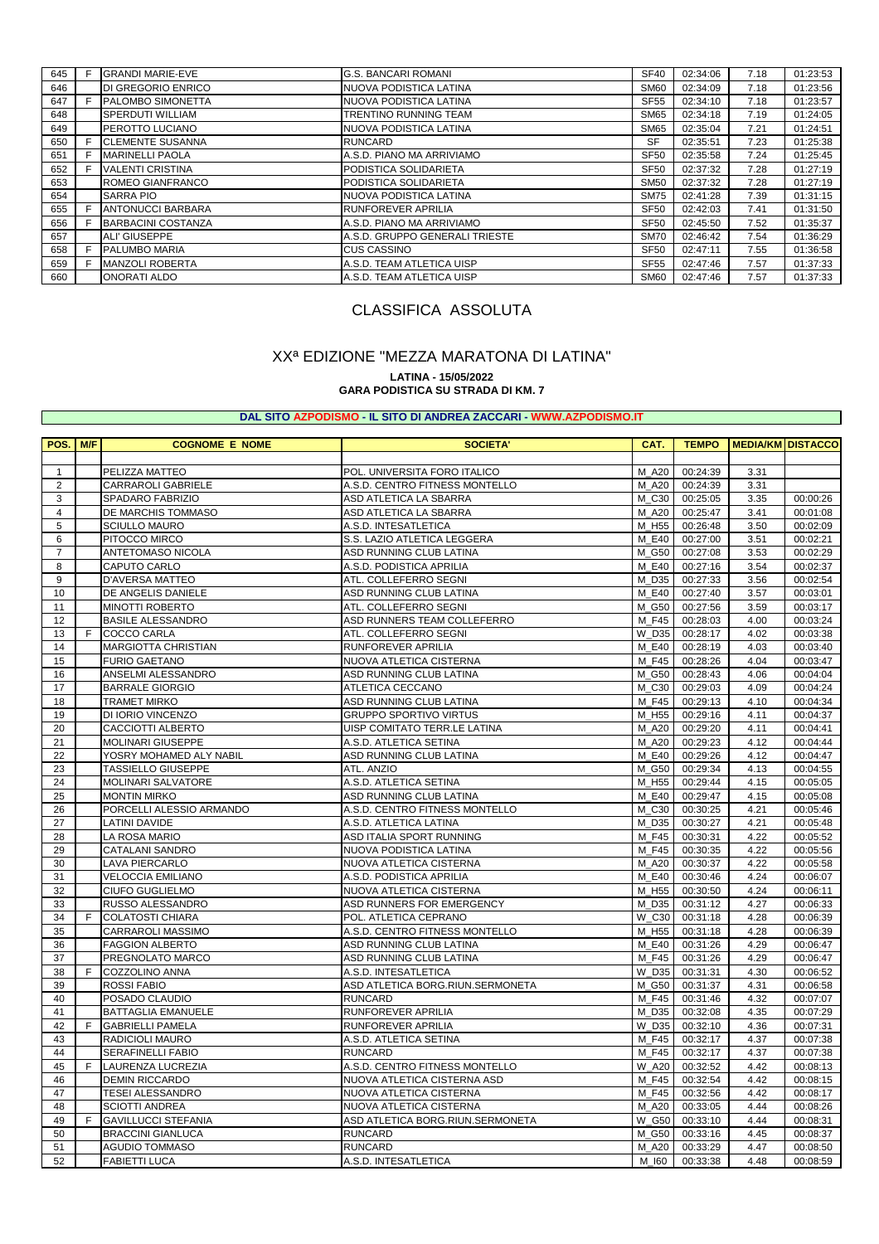| 645 | F | <b>GRANDI MARIE-EVE</b>   | <b>G.S. BANCARI ROMANI</b>     | <b>SF40</b>      | 02:34:06 | 7.18 | 01:23:53 |
|-----|---|---------------------------|--------------------------------|------------------|----------|------|----------|
| 646 |   | <b>DI GREGORIO ENRICO</b> | INUOVA PODISTICA LATINA        | SM <sub>60</sub> | 02:34:09 | 7.18 | 01:23:56 |
| 647 | F | <b>PALOMBO SIMONETTA</b>  | INUOVA PODISTICA LATINA        | <b>SF55</b>      | 02:34:10 | 7.18 | 01:23:57 |
| 648 |   | <b>SPERDUTI WILLIAM</b>   | TRENTINO RUNNING TEAM          | <b>SM65</b>      | 02:34:18 | 7.19 | 01:24:05 |
| 649 |   | <b>PEROTTO LUCIANO</b>    | NUOVA PODISTICA LATINA         | <b>SM65</b>      | 02:35:04 | 7.21 | 01:24:51 |
| 650 | F | <b>CLEMENTE SUSANNA</b>   | <b>RUNCARD</b>                 | <b>SF</b>        | 02:35:51 | 7.23 | 01:25:38 |
| 651 | E | <b>MARINELLI PAOLA</b>    | A.S.D. PIANO MA ARRIVIAMO      | <b>SF50</b>      | 02:35:58 | 7.24 | 01:25:45 |
| 652 |   | <b>VALENTI CRISTINA</b>   | <b>PODISTICA SOLIDARIETA</b>   | <b>SF50</b>      | 02:37:32 | 7.28 | 01:27:19 |
| 653 |   | <b>ROMEO GIANFRANCO</b>   | <b>PODISTICA SOLIDARIETA</b>   | <b>SM50</b>      | 02:37:32 | 7.28 | 01:27:19 |
| 654 |   | <b>SARRA PIO</b>          | INUOVA PODISTICA LATINA        | <b>SM75</b>      | 02:41:28 | 7.39 | 01:31:15 |
| 655 | F | <b>ANTONUCCI BARBARA</b>  | <b>RUNFOREVER APRILIA</b>      | <b>SF50</b>      | 02:42:03 | 7.41 | 01:31:50 |
| 656 |   | BARBACINI COSTANZA        | A.S.D. PIANO MA ARRIVIAMO      | <b>SF50</b>      | 02:45:50 | 7.52 | 01:35:37 |
| 657 |   | ALI' GIUSEPPE             | A.S.D. GRUPPO GENERALI TRIESTE | <b>SM70</b>      | 02:46:42 | 7.54 | 01:36:29 |
| 658 | E | <b>PALUMBO MARIA</b>      | <b>CUS CASSINO</b>             | <b>SF50</b>      | 02:47:11 | 7.55 | 01:36:58 |
| 659 |   | <b>MANZOLI ROBERTA</b>    | A.S.D. TEAM ATLETICA UISP      | <b>SF55</b>      | 02:47:46 | 7.57 | 01:37:33 |
| 660 |   | <b>ONORATI ALDO</b>       | A.S.D. TEAM ATLETICA UISP      | SM60             | 02:47:46 | 7.57 | 01:37:33 |
|     |   |                           |                                |                  |          |      |          |

# CLASSIFICA ASSOLUTA

# XXª EDIZIONE "MEZZA MARATONA DI LATINA"

#### **LATINA - 15/05/2022**

**GARA PODISTICA SU STRADA DI KM. 7**

#### **DAL SITO AZPODISMO - IL SITO DI ANDREA ZACCARI - [WWW.AZPODISMO.IT](http://www.azpodismo.it)**

| POS.                    | M/F | <b>COGNOME E NOME</b>      | <b>SOCIETA'</b>                  | CAT.    | <b>TEMPO</b> | <b>MEDIA/KM DISTACCO</b> |          |
|-------------------------|-----|----------------------------|----------------------------------|---------|--------------|--------------------------|----------|
|                         |     |                            |                                  |         |              |                          |          |
| $\mathbf{1}$            |     | PELIZZA MATTEO             | POL. UNIVERSITA FORO ITALICO     | M_A20   | 00:24:39     | 3.31                     |          |
| $\overline{2}$          |     | CARRAROLI GABRIELE         | A.S.D. CENTRO FITNESS MONTELLO   | M A20   | 00:24:39     | 3.31                     |          |
| 3                       |     | SPADARO FABRIZIO           | ASD ATLETICA LA SBARRA           | M C30   | 00:25:05     | 3.35                     | 00:00:26 |
| $\overline{\mathbf{4}}$ |     | DE MARCHIS TOMMASO         | ASD ATLETICA LA SBARRA           | M_A20   | 00:25:47     | 3.41                     | 00:01:08 |
| 5                       |     | <b>SCIULLO MAURO</b>       | A.S.D. INTESATLETICA             | M H55   | 00:26:48     | 3.50                     | 00:02:09 |
| 6                       |     | PITOCCO MIRCO              | S.S. LAZIO ATLETICA LEGGERA      | M E40   | 00:27:00     | 3.51                     | 00:02:21 |
| $\overline{7}$          |     | ANTETOMASO NICOLA          | ASD RUNNING CLUB LATINA          | M G50   | 00:27:08     | 3.53                     | 00:02:29 |
| 8                       |     | CAPUTO CARLO               | A.S.D. PODISTICA APRILIA         | M_E40   | 00:27:16     | 3.54                     | 00:02:37 |
| 9                       |     | D'AVERSA MATTEO            | ATL. COLLEFERRO SEGNI            | M D35   | 00:27:33     | 3.56                     | 00:02:54 |
| 10                      |     | DE ANGELIS DANIELE         | ASD RUNNING CLUB LATINA          | M E40   | 00:27:40     | 3.57                     | 00:03:01 |
| 11                      |     | <b>MINOTTI ROBERTO</b>     | ATL. COLLEFERRO SEGNI            | M_G50   | 00:27:56     | 3.59                     | 00:03:17 |
| 12                      |     | <b>BASILE ALESSANDRO</b>   | ASD RUNNERS TEAM COLLEFERRO      | M_F45   | 00:28:03     | 4.00                     | 00:03:24 |
| 13                      | F.  | COCCO CARLA                | ATL. COLLEFERRO SEGNI            | W D35   | 00:28:17     | 4.02                     | 00:03:38 |
| 14                      |     | <b>MARGIOTTA CHRISTIAN</b> | <b>RUNFOREVER APRILIA</b>        | M E40   | 00:28:19     | 4.03                     | 00:03:40 |
| 15                      |     | <b>FURIO GAETANO</b>       | NUOVA ATLETICA CISTERNA          | M_F45   | 00:28:26     | 4.04                     | 00:03:47 |
| 16                      |     | ANSELMI ALESSANDRO         | ASD RUNNING CLUB LATINA          | M G50   | 00:28:43     | 4.06                     | 00:04:04 |
| 17                      |     | <b>BARRALE GIORGIO</b>     | ATLETICA CECCANO                 | M_C30   | 00:29:03     | 4.09                     | 00:04:24 |
| 18                      |     | <b>TRAMET MIRKO</b>        | ASD RUNNING CLUB LATINA          | M F45   | 00:29:13     | 4.10                     | 00:04:34 |
| 19                      |     | DI IORIO VINCENZO          | <b>GRUPPO SPORTIVO VIRTUS</b>    | M H55   | 00:29:16     | 4.11                     | 00:04:37 |
| 20                      |     | CACCIOTTI ALBERTO          | UISP COMITATO TERR.LE LATINA     | M A20   | 00:29:20     | 4.11                     | 00:04:41 |
| 21                      |     | MOLINARI GIUSEPPE          | A.S.D. ATLETICA SETINA           | M A20   | 00:29:23     | 4.12                     | 00:04:44 |
| 22                      |     | YOSRY MOHAMED ALY NABIL    | ASD RUNNING CLUB LATINA          | M E40   | 00:29:26     | 4.12                     | 00:04:47 |
| 23                      |     | <b>TASSIELLO GIUSEPPE</b>  | ATL. ANZIO                       | M G50   | 00:29:34     | 4.13                     | 00:04:55 |
| 24                      |     | <b>MOLINARI SALVATORE</b>  | A.S.D. ATLETICA SETINA           | M_H55   | 00:29:44     | 4.15                     | 00:05:05 |
| 25                      |     | <b>MONTIN MIRKO</b>        | ASD RUNNING CLUB LATINA          | M E40   | 00:29:47     | 4.15                     | 00:05:08 |
| 26                      |     | PORCELLI ALESSIO ARMANDO   | A.S.D. CENTRO FITNESS MONTELLO   | M C30   | 00:30:25     | 4.21                     | 00:05:46 |
| 27                      |     | <b>LATINI DAVIDE</b>       | A.S.D. ATLETICA LATINA           | M D35   | 00:30:27     | 4.21                     | 00:05:48 |
| 28                      |     | LA ROSA MARIO              | ASD ITALIA SPORT RUNNING         | M F45   | 00:30:31     | 4.22                     | 00:05:52 |
| 29                      |     | CATALANI SANDRO            | NUOVA PODISTICA LATINA           | M F45   | 00:30:35     | 4.22                     | 00:05:56 |
| 30                      |     | <b>LAVA PIERCARLO</b>      | NUOVA ATLETICA CISTERNA          | M A20   | 00:30:37     | 4.22                     | 00:05:58 |
| 31                      |     | <b>VELOCCIA EMILIANO</b>   | A.S.D. PODISTICA APRILIA         | M E40   | 00:30:46     | 4.24                     | 00:06:07 |
| 32                      |     | <b>CIUFO GUGLIELMO</b>     | NUOVA ATLETICA CISTERNA          | M_H55   | 00:30:50     | 4.24                     | 00:06:11 |
| 33                      |     | RUSSO ALESSANDRO           | ASD RUNNERS FOR EMERGENCY        | M D35   | 00:31:12     | 4.27                     | 00:06:33 |
| 34                      | F   | <b>COLATOSTI CHIARA</b>    | POL. ATLETICA CEPRANO            | $W_C30$ | 00:31:18     | 4.28                     | 00:06:39 |
| 35                      |     | <b>CARRAROLI MASSIMO</b>   | A.S.D. CENTRO FITNESS MONTELLO   | M H55   | 00:31:18     | 4.28                     | 00:06:39 |
| 36                      |     | <b>FAGGION ALBERTO</b>     | ASD RUNNING CLUB LATINA          | M E40   | 00:31:26     | 4.29                     | 00:06:47 |
| 37                      |     | PREGNOLATO MARCO           | ASD RUNNING CLUB LATINA          | M F45   | 00:31:26     | 4.29                     | 00:06:47 |
| 38                      | E   | COZZOLINO ANNA             | A.S.D. INTESATLETICA             | W D35   | 00:31:31     | 4.30                     | 00:06:52 |
| 39                      |     | <b>ROSSI FABIO</b>         | ASD ATLETICA BORG.RIUN.SERMONETA | M G50   | 00:31:37     | 4.31                     | 00:06:58 |
| 40                      |     | POSADO CLAUDIO             | <b>RUNCARD</b>                   | M F45   | 00:31:46     | 4.32                     | 00:07:07 |
| 41                      |     | BATTAGLIA EMANUELE         | RUNFOREVER APRILIA               | M D35   | 00:32:08     | 4.35                     | 00:07:29 |
| 42                      | F   | <b>GABRIELLI PAMELA</b>    | RUNFOREVER APRILIA               | W D35   | 00:32:10     | 4.36                     | 00:07:31 |
| 43                      |     | RADICIOLI MAURO            | A.S.D. ATLETICA SETINA           | M F45   | 00:32:17     | 4.37                     | 00:07:38 |
| 44                      |     | <b>SERAFINELLI FABIO</b>   | <b>RUNCARD</b>                   | M F45   | 00:32:17     | 4.37                     | 00:07:38 |
| 45                      | F.  | <b>LAURENZA LUCREZIA</b>   | A.S.D. CENTRO FITNESS MONTELLO   | W_A20   | 00:32:52     | 4.42                     | 00:08:13 |
| 46                      |     | <b>DEMIN RICCARDO</b>      | NUOVA ATLETICA CISTERNA ASD      | M F45   | 00:32:54     | 4.42                     | 00:08:15 |
| 47                      |     | <b>TESEI ALESSANDRO</b>    | NUOVA ATLETICA CISTERNA          | M_F45   | 00:32:56     | 4.42                     | 00:08:17 |
| 48                      |     | <b>SCIOTTI ANDREA</b>      | NUOVA ATLETICA CISTERNA          | M A20   | 00:33:05     | 4.44                     | 00:08:26 |
| 49                      | F   | <b>GAVILLUCCI STEFANIA</b> | ASD ATLETICA BORG.RIUN.SERMONETA | W G50   | 00:33:10     | 4.44                     | 00:08:31 |
| 50                      |     | <b>BRACCINI GIANLUCA</b>   | <b>RUNCARD</b>                   | M G50   | 00:33:16     | 4.45                     | 00:08:37 |
| 51                      |     | <b>AGUDIO TOMMASO</b>      | <b>RUNCARD</b>                   | M A20   | 00:33:29     | 4.47                     | 00:08:50 |
| 52                      |     | <b>FABIETTI LUCA</b>       | A.S.D. INTESATLETICA             | M_I60   | 00:33:38     | 4.48                     | 00:08:59 |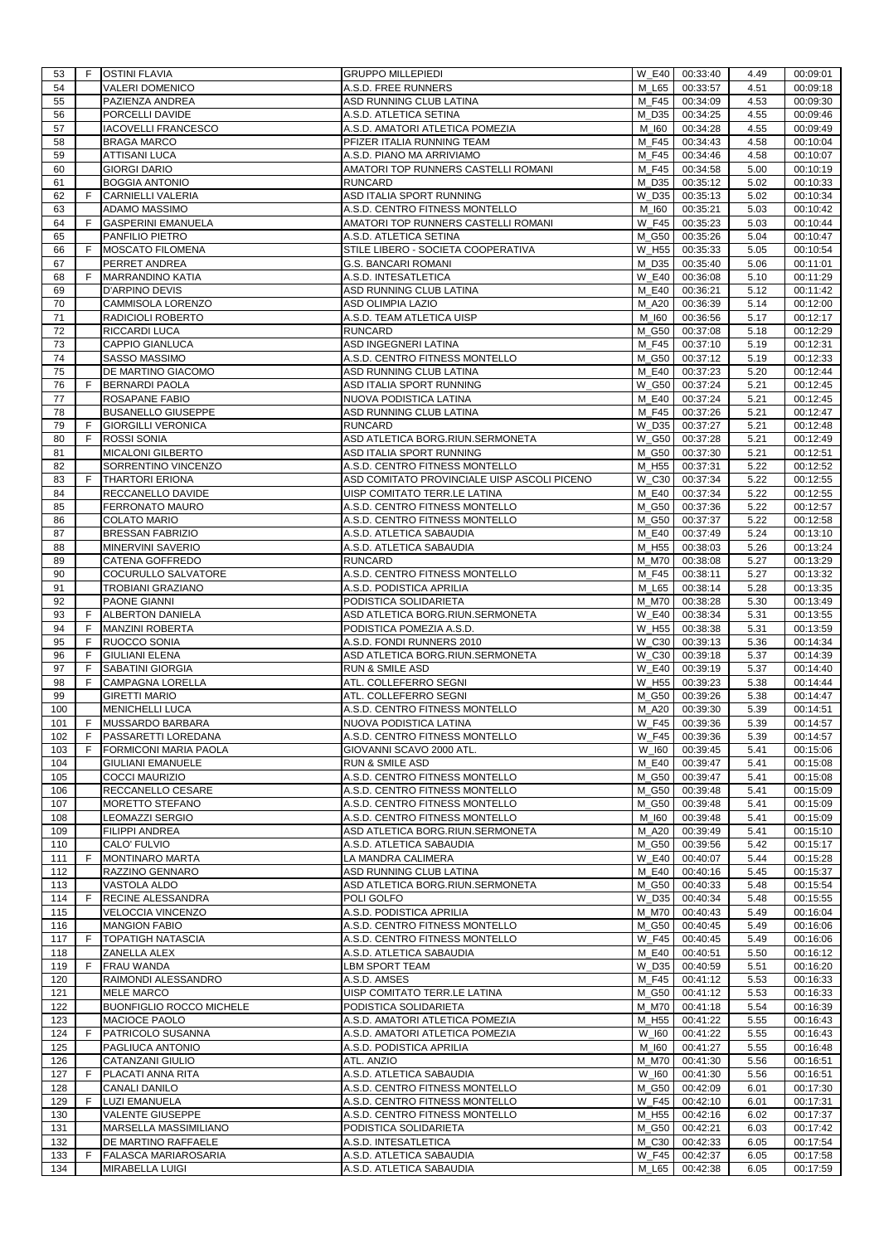| 53         | F.     | <b>OSTINI FLAVIA</b>                              | <b>GRUPPO MILLEPIEDI</b>                                  | $W_E40$                        | 00:33:40             | 4.49         | 00:09:01             |
|------------|--------|---------------------------------------------------|-----------------------------------------------------------|--------------------------------|----------------------|--------------|----------------------|
| 54         |        | VALERI DOMENICO                                   | A.S.D. FREE RUNNERS                                       | M L65                          | 00:33:57             | 4.51         | 00:09:18             |
| 55<br>56   |        | PAZIENZA ANDREA<br>PORCELLI DAVIDE                | ASD RUNNING CLUB LATINA<br>A.S.D. ATLETICA SETINA         | M F45<br>M D35                 | 00:34:09<br>00:34:25 | 4.53<br>4.55 | 00:09:30<br>00:09:46 |
| 57         |        | <b>IACOVELLI FRANCESCO</b>                        | A.S.D. AMATORI ATLETICA POMEZIA                           | M_I60                          | 00:34:28             | 4.55         | 00:09:49             |
| 58         |        | <b>BRAGA MARCO</b>                                | PFIZER ITALIA RUNNING TEAM                                | M F45                          | 00:34:43             | 4.58         | 00:10:04             |
| 59         |        | ATTISANI LUCA                                     | A.S.D. PIANO MA ARRIVIAMO                                 | M F45                          | 00:34:46             | 4.58         | 00:10:07             |
| 60         |        | <b>GIORGI DARIO</b>                               | AMATORI TOP RUNNERS CASTELLI ROMANI                       | M F45                          | 00:34:58             | 5.00         | 00:10:19             |
| 61         |        | <b>BOGGIA ANTONIO</b>                             | <b>RUNCARD</b>                                            | M D35                          | 00:35:12             | 5.02         | 00:10:33             |
| 62         | F      | <b>CARNIELLI VALERIA</b>                          | ASD ITALIA SPORT RUNNING                                  | $\overline{W}$ <sub>-D35</sub> | 00:35:13             | 5.02         | 00:10:34             |
| 63         |        | ADAMO MASSIMO                                     | A.S.D. CENTRO FITNESS MONTELLO                            | M_I60                          | 00:35:21             | 5.03         | 00:10:42             |
| 64         | F      | <b>GASPERINI EMANUELA</b>                         | AMATORI TOP RUNNERS CASTELLI ROMANI                       | W F45                          | 00:35:23             | 5.03         | 00:10:44             |
| 65         |        | PANFILIO PIETRO                                   | A.S.D. ATLETICA SETINA                                    | M_G50                          | 00:35:26             | 5.04         | 00:10:47             |
| 66<br>67   | F      | MOSCATO FILOMENA<br>PERRET ANDREA                 | STILE LIBERO - SOCIETA COOPERATIVA<br>G.S. BANCARI ROMANI | W H55<br>M_D35                 | 00:35:33<br>00:35:40 | 5.05<br>5.06 | 00:10:54<br>00:11:01 |
| 68         | F      | <b>MARRANDINO KATIA</b>                           | A.S.D. INTESATLETICA                                      | <b>W E40</b>                   | 00:36:08             | 5.10         | 00:11:29             |
| 69         |        | D'ARPINO DEVIS                                    | ASD RUNNING CLUB LATINA                                   | M E40                          | 00:36:21             | 5.12         | 00:11:42             |
| 70         |        | CAMMISOLA LORENZO                                 | ASD OLIMPIA LAZIO                                         | <b>M_A20</b>                   | 00:36:39             | 5.14         | 00:12:00             |
| 71         |        | RADICIOLI ROBERTO                                 | A.S.D. TEAM ATLETICA UISP                                 | M_I60                          | 00:36:56             | 5.17         | 00:12:17             |
| 72         |        | RICCARDI LUCA                                     | <b>RUNCARD</b>                                            | M_G50                          | 00:37:08             | 5.18         | 00:12:29             |
| 73         |        | CAPPIO GIANLUCA                                   | ASD INGEGNERI LATINA                                      | M F45                          | 00:37:10             | 5.19         | 00:12:31             |
| 74         |        | SASSO MASSIMO                                     | A.S.D. CENTRO FITNESS MONTELLO                            | M_G50                          | 00:37:12             | 5.19         | 00:12:33             |
| 75         |        | DE MARTINO GIACOMO                                | ASD RUNNING CLUB LATINA                                   | M E40                          | 00:37:23             | 5.20         | 00:12:44             |
| 76         | F      | <b>BERNARDI PAOLA</b>                             | ASD ITALIA SPORT RUNNING                                  | W G50                          | 00:37:24             | 5.21         | 00:12:45             |
| 77         |        | ROSAPANE FABIO                                    | NUOVA PODISTICA LATINA                                    | M E40                          | 00:37:24             | 5.21         | 00:12:45             |
| 78         |        | <b>BUSANELLO GIUSEPPE</b>                         | ASD RUNNING CLUB LATINA                                   | M F45                          | 00:37:26             | 5.21         | 00:12:47<br>00:12:48 |
| 79<br>80   | F<br>F | <b>GIORGILLI VERONICA</b><br><b>ROSSI SONIA</b>   | <b>RUNCARD</b><br>ASD ATLETICA BORG.RIUN.SERMONETA        | W D35<br>W_G50                 | 00:37:27<br>00:37:28 | 5.21<br>5.21 | 00:12:49             |
| 81         |        | MICALONI GILBERTO                                 | ASD ITALIA SPORT RUNNING                                  | M G50                          | 00:37:30             | 5.21         | 00:12:51             |
| 82         |        | SORRENTINO VINCENZO                               | A.S.D. CENTRO FITNESS MONTELLO                            | M_H55                          | 00:37:31             | 5.22         | 00:12:52             |
| 83         | F      | <b>THARTORI ERIONA</b>                            | ASD COMITATO PROVINCIALE UISP ASCOLI PICENO               | W C30                          | 00:37:34             | 5.22         | 00:12:55             |
| 84         |        | RECCANELLO DAVIDE                                 | UISP COMITATO TERR.LE LATINA                              | M_E40                          | 00:37:34             | 5.22         | 00:12:55             |
| 85         |        | FERRONATO MAURO                                   | A.S.D. CENTRO FITNESS MONTELLO                            | M_G50                          | 00:37:36             | 5.22         | 00:12:57             |
| 86         |        | <b>COLATO MARIO</b>                               | A.S.D. CENTRO FITNESS MONTELLO                            | M_G50                          | 00:37:37             | 5.22         | 00:12:58             |
| 87         |        | <b>BRESSAN FABRIZIO</b>                           | A.S.D. ATLETICA SABAUDIA                                  | M_E40                          | 00:37:49             | 5.24         | 00:13:10             |
| 88         |        | MINERVINI SAVERIO                                 | A.S.D. ATLETICA SABAUDIA                                  | M_H55                          | 00:38:03             | 5.26         | 00:13:24             |
| 89         |        | CATENA GOFFREDO                                   | <b>RUNCARD</b>                                            | M M70                          | 00:38:08             | 5.27         | 00:13:29             |
| 90         |        | COCURULLO SALVATORE                               | A.S.D. CENTRO FITNESS MONTELLO                            | M F45                          | 00:38:11             | 5.27         | 00:13:32             |
| 91         |        | TROBIANI GRAZIANO                                 | A.S.D. PODISTICA APRILIA                                  | M_L65                          | 00:38:14             | 5.28         | 00:13:35             |
| 92<br>93   | F      | PAONE GIANNI<br>ALBERTON DANIELA                  | PODISTICA SOLIDARIETA<br>ASD ATLETICA BORG.RIUN.SERMONETA | M_M70<br><b>W E40</b>          | 00:38:28<br>00:38:34 | 5.30<br>5.31 | 00:13:49<br>00:13:55 |
| 94         | F      | MANZINI ROBERTA                                   | PODISTICA POMEZIA A.S.D.                                  | W_H55                          | 00:38:38             | 5.31         | 00:13:59             |
| 95         | F      | RUOCCO SONIA                                      | A.S.D. FONDI RUNNERS 2010                                 | W C30                          | 00:39:13             | 5.36         | 00:14:34             |
| 96         | F      | <b>GIULIANI ELENA</b>                             | ASD ATLETICA BORG.RIUN.SERMONETA                          | W C30                          | 00:39:18             | 5.37         | 00:14:39             |
| 97         | F      | SABATINI GIORGIA                                  | RUN & SMILE ASD                                           | <b>W_E40</b>                   | 00:39:19             | 5.37         | 00:14:40             |
| 98         | F      | CAMPAGNA LORELLA                                  | ATL. COLLEFERRO SEGNI                                     | W H55                          | 00:39:23             | 5.38         | 00:14:44             |
| 99         |        | <b>GIRETTI MARIO</b>                              | ATL. COLLEFERRO SEGNI                                     | M G50                          | 00:39:26             | 5.38         | 00:14:47             |
| 100        |        | <b>MENICHELLI LUCA</b>                            | A.S.D. CENTRO FITNESS MONTELLO                            | M A20                          | 00:39:30             | 5.39         | 00:14:51             |
| 101        | F      | MUSSARDO BARBARA                                  | NUOVA PODISTICA LATINA                                    | <b>W F45</b>                   | 00:39:36             | 5.39         | 00:14:57             |
| 102        | F      | PASSARETTI LOREDANA                               | A.S.D. CENTRO FITNESS MONTELLO                            | $W_F45$                        | 00:39:36             | 5.39         | 00:14:57             |
| 103<br>104 | F      | FORMICONI MARIA PAOLA<br><b>GIULIANI EMANUELE</b> | GIOVANNI SCAVO 2000 ATL.<br>RUN & SMILE ASD               | W 160<br>M E40                 | 00:39:45<br>00:39:47 | 5.41<br>5.41 | 00:15:06<br>00:15:08 |
| 105        |        | COCCI MAURIZIO                                    | A.S.D. CENTRO FITNESS MONTELLO                            | M_G50                          | 00:39:47             | 5.41         | 00:15:08             |
| 106        |        | RECCANELLO CESARE                                 | A.S.D. CENTRO FITNESS MONTELLO                            | M_G50                          | 00:39:48             | 5.41         | 00:15:09             |
| 107        |        | MORETTO STEFANO                                   | A.S.D. CENTRO FITNESS MONTELLO                            | M_G50                          | 00:39:48             | 5.41         | 00:15:09             |
| 108        |        | LEOMAZZI SERGIO                                   | A.S.D. CENTRO FITNESS MONTELLO                            | M_I60                          | 00:39:48             | 5.41         | 00:15:09             |
| 109        |        | FILIPPI ANDREA                                    | ASD ATLETICA BORG.RIUN.SERMONETA                          | <b>M_A20</b>                   | 00:39:49             | 5.41         | 00:15:10             |
| 110        |        | CALO' FULVIO                                      | A.S.D. ATLETICA SABAUDIA                                  | M_G50                          | 00:39:56             | 5.42         | 00:15:17             |
| 111        | F      | <b>MONTINARO MARTA</b>                            | LA MANDRA CALIMERA                                        | <b>W_E40</b>                   | 00:40:07             | 5.44         | 00:15:28             |
| 112        |        | RAZZINO GENNARO                                   | ASD RUNNING CLUB LATINA                                   | M_E40                          | 00:40:16             | 5.45         | 00:15:37             |
| 113<br>114 | F      | VASTOLA ALDO<br>RECINE ALESSANDRA                 | ASD ATLETICA BORG.RIUN.SERMONETA<br>POLI GOLFO            | M G50<br>W D35                 | 00:40:33<br>00:40:34 | 5.48<br>5.48 | 00:15:54             |
| 115        |        | <b>VELOCCIA VINCENZO</b>                          | A.S.D. PODISTICA APRILIA                                  | <b>M_M70</b>                   | 00:40:43             | 5.49         | 00:15:55<br>00:16:04 |
| 116        |        | <b>MANGION FABIO</b>                              | A.S.D. CENTRO FITNESS MONTELLO                            | M_G50                          | 00:40:45             | 5.49         | 00:16:06             |
| 117        | F      | <b>TOPATIGH NATASCIA</b>                          | A.S.D. CENTRO FITNESS MONTELLO                            | <b>W F45</b>                   | 00:40:45             | 5.49         | 00:16:06             |
| 118        |        | ZANELLA ALEX                                      | A.S.D. ATLETICA SABAUDIA                                  | M E40                          | 00:40:51             | 5.50         | 00:16:12             |
| 119        | F      | <b>FRAU WANDA</b>                                 | LBM SPORT TEAM                                            | W_D35                          | 00:40:59             | 5.51         | 00:16:20             |
| 120        |        | RAIMONDI ALESSANDRO                               | A.S.D. AMSES                                              | $M_F45$                        | 00:41:12             | 5.53         | 00:16:33             |
| 121        |        | MELE MARCO                                        | UISP COMITATO TERR.LE LATINA                              | M_G50                          | 00:41:12             | 5.53         | 00:16:33             |
| 122        |        | <b>BUONFIGLIO ROCCO MICHELE</b>                   | PODISTICA SOLIDARIETA                                     | M_M70                          | 00:41:18             | 5.54         | 00:16:39             |
| 123        |        | MACIOCE PAOLO                                     | A.S.D. AMATORI ATLETICA POMEZIA                           | M_H55                          | 00:41:22             | 5.55         | 00:16:43             |
| 124        | F      | PATRICOLO SUSANNA                                 | A.S.D. AMATORI ATLETICA POMEZIA                           | W_I60                          | 00:41:22             | 5.55         | 00:16:43             |
| 125<br>126 |        | PAGLIUCA ANTONIO<br>CATANZANI GIULIO              | A.S.D. PODISTICA APRILIA<br>ATL. ANZIO                    | M_I60<br><b>M_M70</b>          | 00:41:27<br>00:41:30 | 5.55         | 00:16:48<br>00:16:51 |
| 127        | F.     | PLACATI ANNA RITA                                 | A.S.D. ATLETICA SABAUDIA                                  | W 160                          | 00:41:30             | 5.56<br>5.56 | 00:16:51             |
| 128        |        | CANALI DANILO                                     | A.S.D. CENTRO FITNESS MONTELLO                            | M_G50                          | 00:42:09             | 6.01         | 00:17:30             |
| 129        | F.     | <b>LUZI EMANUELA</b>                              | A.S.D. CENTRO FITNESS MONTELLO                            | <b>W</b> F45                   | 00:42:10             | 6.01         | 00:17:31             |
| 130        |        | <b>VALENTE GIUSEPPE</b>                           | A.S.D. CENTRO FITNESS MONTELLO                            | M_H55                          | 00:42:16             | 6.02         | 00:17:37             |
| 131        |        | MARSELLA MASSIMILIANO                             | PODISTICA SOLIDARIETA                                     | M_G50                          | 00:42:21             | 6.03         | 00:17:42             |
| 132        |        | DE MARTINO RAFFAELE                               | A.S.D. INTESATLETICA                                      | $M_C30$                        | 00:42:33             | 6.05         | 00:17:54             |
| 133        | F.     | <b>FALASCA MARIAROSARIA</b>                       | A.S.D. ATLETICA SABAUDIA                                  | W_F45                          | 00:42:37             | 6.05         | 00:17:58             |
| 134        |        | MIRABELLA LUIGI                                   | A.S.D. ATLETICA SABAUDIA                                  | M_L65                          | 00:42:38             | 6.05         | 00:17:59             |